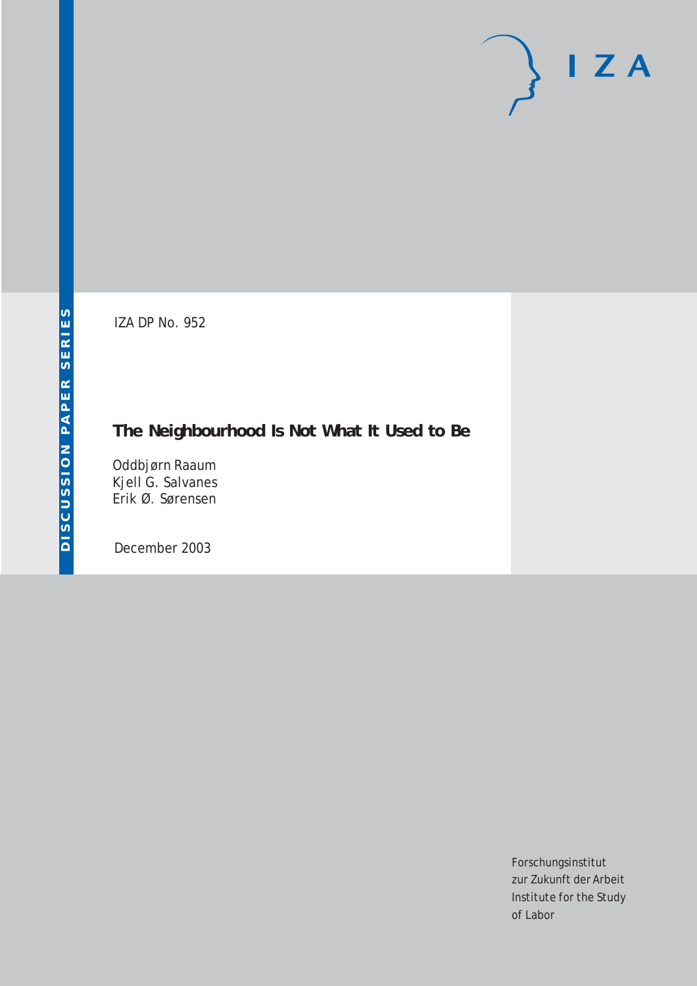# $I Z A$

IZA DP No. 952

# **The Neighbourhood Is Not What It Used to Be**

Oddbjørn Raaum Kjell G. Salvanes Erik Ø. Sørensen

December 2003

Forschungsinstitut zur Zukunft der Arbeit Institute for the Study of Labor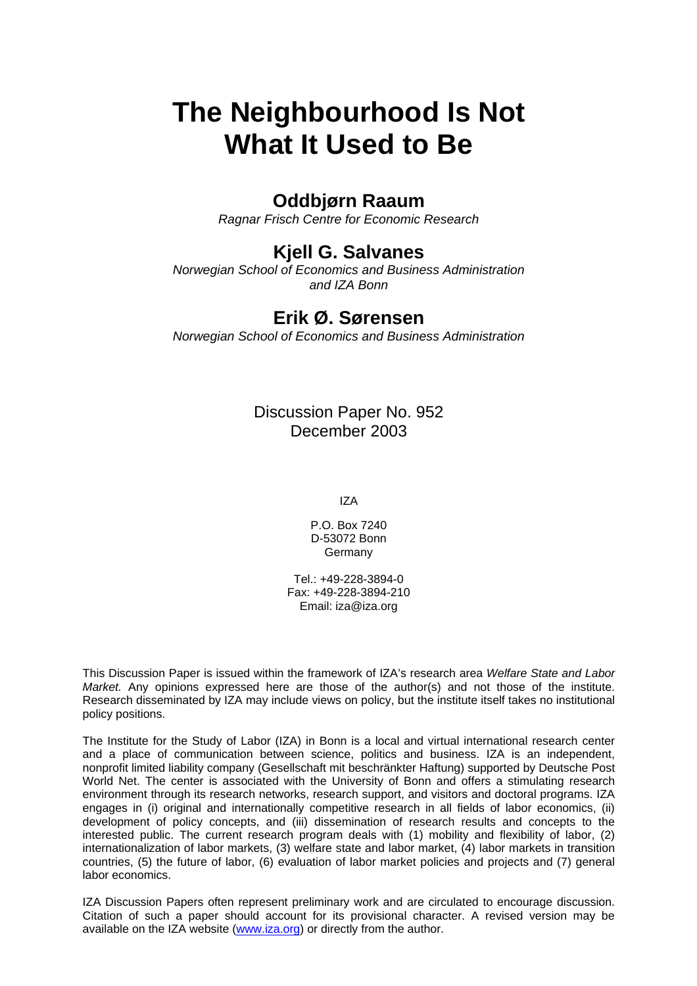# **The Neighbourhood Is Not What It Used to Be**

# **Oddbjørn Raaum**

*Ragnar Frisch Centre for Economic Research* 

# **Kjell G. Salvanes**

*Norwegian School of Economics and Business Administration and IZA Bonn* 

# **Erik Ø. Sørensen**

*Norwegian School of Economics and Business Administration* 

Discussion Paper No. 952 December 2003

IZA

P.O. Box 7240 D-53072 Bonn Germany

Tel.: +49-228-3894-0 Fax: +49-228-3894-210 Email: [iza@iza.org](mailto:iza@iza.org)

This Discussion Paper is issued within the framework of IZA's research area *Welfare State and Labor Market.* Any opinions expressed here are those of the author(s) and not those of the institute. Research disseminated by IZA may include views on policy, but the institute itself takes no institutional policy positions.

The Institute for the Study of Labor (IZA) in Bonn is a local and virtual international research center and a place of communication between science, politics and business. IZA is an independent, nonprofit limited liability company (Gesellschaft mit beschränkter Haftung) supported by Deutsche Post World Net. The center is associated with the University of Bonn and offers a stimulating research environment through its research networks, research support, and visitors and doctoral programs. IZA engages in (i) original and internationally competitive research in all fields of labor economics, (ii) development of policy concepts, and (iii) dissemination of research results and concepts to the interested public. The current research program deals with (1) mobility and flexibility of labor, (2) internationalization of labor markets, (3) welfare state and labor market, (4) labor markets in transition countries, (5) the future of labor, (6) evaluation of labor market policies and projects and (7) general labor economics.

IZA Discussion Papers often represent preliminary work and are circulated to encourage discussion. Citation of such a paper should account for its provisional character. A revised version may be available on the IZA website ([www.iza.org](http://www.iza.org/)) or directly from the author.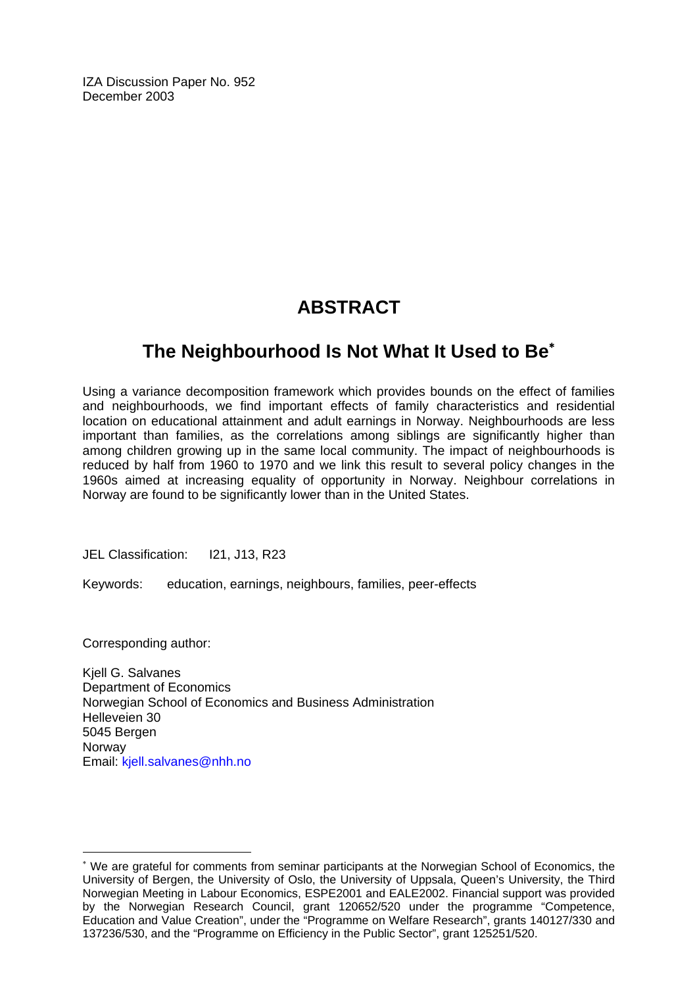IZA Discussion Paper No. 952 December 2003

# **ABSTRACT**

# **The Neighbourhood Is Not What It Used to Be**[∗](#page-2-0)

Using a variance decomposition framework which provides bounds on the effect of families and neighbourhoods, we find important effects of family characteristics and residential location on educational attainment and adult earnings in Norway. Neighbourhoods are less important than families, as the correlations among siblings are significantly higher than among children growing up in the same local community. The impact of neighbourhoods is reduced by half from 1960 to 1970 and we link this result to several policy changes in the 1960s aimed at increasing equality of opportunity in Norway. Neighbour correlations in Norway are found to be significantly lower than in the United States.

JEL Classification: I21, J13, R23

Keywords: education, earnings, neighbours, families, peer-effects

Corresponding author:

 $\overline{a}$ 

Kjell G. Salvanes Department of Economics Norwegian School of Economics and Business Administration Helleveien 30 5045 Bergen Norway Email: [kjell.salvanes@nhh.no](mailto:kjell.salvanes@nhh.no)

<span id="page-2-0"></span><sup>∗</sup> We are grateful for comments from seminar participants at the Norwegian School of Economics, the University of Bergen, the University of Oslo, the University of Uppsala, Queen's University, the Third Norwegian Meeting in Labour Economics, ESPE2001 and EALE2002. Financial support was provided by the Norwegian Research Council, grant 120652/520 under the programme "Competence, Education and Value Creation", under the "Programme on Welfare Research", grants 140127/330 and 137236/530, and the "Programme on Efficiency in the Public Sector", grant 125251/520.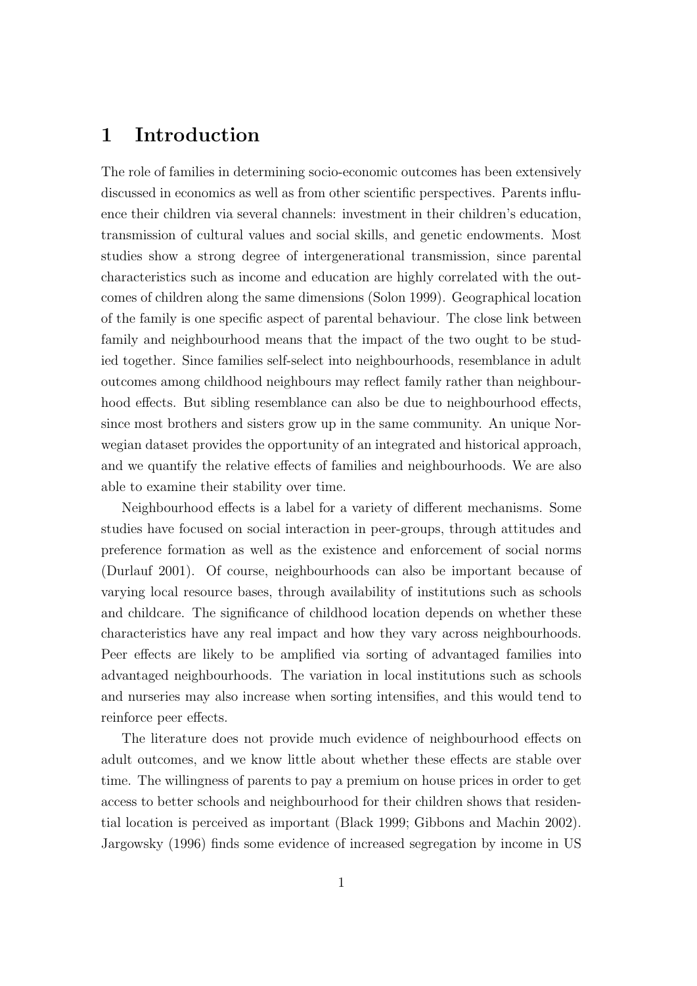## 1 Introduction

The role of families in determining socio-economic outcomes has been extensively discussed in economics as well as from other scientific perspectives. Parents influence their children via several channels: investment in their children's education, transmission of cultural values and social skills, and genetic endowments. Most studies show a strong degree of intergenerational transmission, since parental characteristics such as income and education are highly correlated with the outcomes of children along the same dimensions (Solon 1999). Geographical location of the family is one specific aspect of parental behaviour. The close link between family and neighbourhood means that the impact of the two ought to be studied together. Since families self-select into neighbourhoods, resemblance in adult outcomes among childhood neighbours may reflect family rather than neighbourhood effects. But sibling resemblance can also be due to neighbourhood effects, since most brothers and sisters grow up in the same community. An unique Norwegian dataset provides the opportunity of an integrated and historical approach, and we quantify the relative effects of families and neighbourhoods. We are also able to examine their stability over time.

Neighbourhood effects is a label for a variety of different mechanisms. Some studies have focused on social interaction in peer-groups, through attitudes and preference formation as well as the existence and enforcement of social norms (Durlauf 2001). Of course, neighbourhoods can also be important because of varying local resource bases, through availability of institutions such as schools and childcare. The significance of childhood location depends on whether these characteristics have any real impact and how they vary across neighbourhoods. Peer effects are likely to be amplified via sorting of advantaged families into advantaged neighbourhoods. The variation in local institutions such as schools and nurseries may also increase when sorting intensifies, and this would tend to reinforce peer effects.

The literature does not provide much evidence of neighbourhood effects on adult outcomes, and we know little about whether these effects are stable over time. The willingness of parents to pay a premium on house prices in order to get access to better schools and neighbourhood for their children shows that residential location is perceived as important (Black 1999; Gibbons and Machin 2002). Jargowsky (1996) finds some evidence of increased segregation by income in US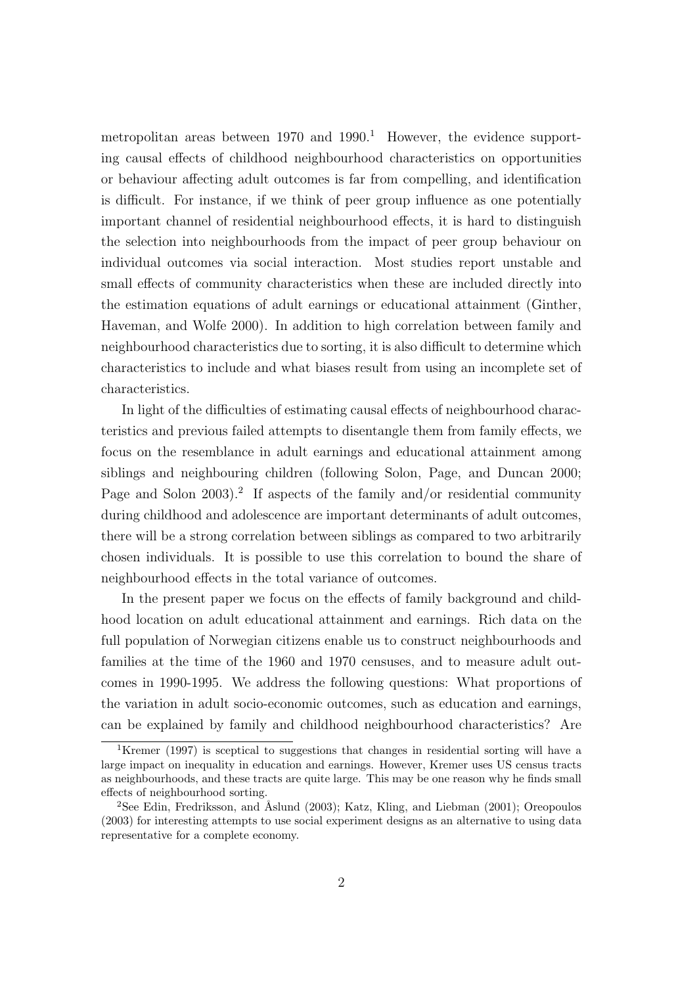metropolitan areas between  $1970$  and  $1990<sup>1</sup>$  However, the evidence supporting causal effects of childhood neighbourhood characteristics on opportunities or behaviour affecting adult outcomes is far from compelling, and identification is difficult. For instance, if we think of peer group influence as one potentially important channel of residential neighbourhood effects, it is hard to distinguish the selection into neighbourhoods from the impact of peer group behaviour on individual outcomes via social interaction. Most studies report unstable and small effects of community characteristics when these are included directly into the estimation equations of adult earnings or educational attainment (Ginther, Haveman, and Wolfe 2000). In addition to high correlation between family and neighbourhood characteristics due to sorting, it is also difficult to determine which characteristics to include and what biases result from using an incomplete set of characteristics.

In light of the difficulties of estimating causal effects of neighbourhood characteristics and previous failed attempts to disentangle them from family effects, we focus on the resemblance in adult earnings and educational attainment among siblings and neighbouring children (following Solon, Page, and Duncan 2000; Page and Solon  $2003$ .<sup>2</sup> If aspects of the family and/or residential community during childhood and adolescence are important determinants of adult outcomes, there will be a strong correlation between siblings as compared to two arbitrarily chosen individuals. It is possible to use this correlation to bound the share of neighbourhood effects in the total variance of outcomes.

In the present paper we focus on the effects of family background and childhood location on adult educational attainment and earnings. Rich data on the full population of Norwegian citizens enable us to construct neighbourhoods and families at the time of the 1960 and 1970 censuses, and to measure adult outcomes in 1990-1995. We address the following questions: What proportions of the variation in adult socio-economic outcomes, such as education and earnings, can be explained by family and childhood neighbourhood characteristics? Are

<sup>&</sup>lt;sup>1</sup>Kremer (1997) is sceptical to suggestions that changes in residential sorting will have a large impact on inequality in education and earnings. However, Kremer uses US census tracts as neighbourhoods, and these tracts are quite large. This may be one reason why he finds small effects of neighbourhood sorting.

<sup>&</sup>lt;sup>2</sup>See Edin, Fredriksson, and Åslund (2003); Katz, Kling, and Liebman (2001); Oreopoulos (2003) for interesting attempts to use social experiment designs as an alternative to using data representative for a complete economy.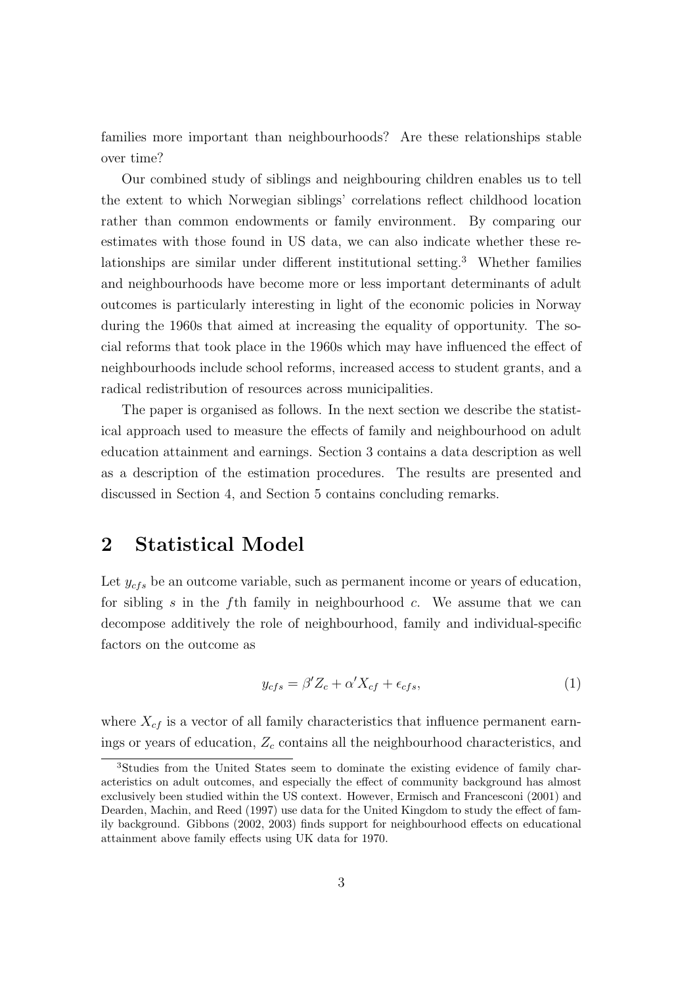families more important than neighbourhoods? Are these relationships stable over time?

Our combined study of siblings and neighbouring children enables us to tell the extent to which Norwegian siblings' correlations reflect childhood location rather than common endowments or family environment. By comparing our estimates with those found in US data, we can also indicate whether these relationships are similar under different institutional setting.<sup>3</sup> Whether families and neighbourhoods have become more or less important determinants of adult outcomes is particularly interesting in light of the economic policies in Norway during the 1960s that aimed at increasing the equality of opportunity. The social reforms that took place in the 1960s which may have influenced the effect of neighbourhoods include school reforms, increased access to student grants, and a radical redistribution of resources across municipalities.

The paper is organised as follows. In the next section we describe the statistical approach used to measure the effects of family and neighbourhood on adult education attainment and earnings. Section 3 contains a data description as well as a description of the estimation procedures. The results are presented and discussed in Section 4, and Section 5 contains concluding remarks.

# 2 Statistical Model

Let  $y_{cfs}$  be an outcome variable, such as permanent income or years of education, for sibling s in the fth family in neighbourhood c. We assume that we can decompose additively the role of neighbourhood, family and individual-specific factors on the outcome as

$$
y_{cfs} = \beta' Z_c + \alpha' X_{cf} + \epsilon_{cfs},\tag{1}
$$

where  $X_{cf}$  is a vector of all family characteristics that influence permanent earnings or years of education,  $Z_c$  contains all the neighbourhood characteristics, and

<sup>3</sup>Studies from the United States seem to dominate the existing evidence of family characteristics on adult outcomes, and especially the effect of community background has almost exclusively been studied within the US context. However, Ermisch and Francesconi (2001) and Dearden, Machin, and Reed (1997) use data for the United Kingdom to study the effect of family background. Gibbons (2002, 2003) finds support for neighbourhood effects on educational attainment above family effects using UK data for 1970.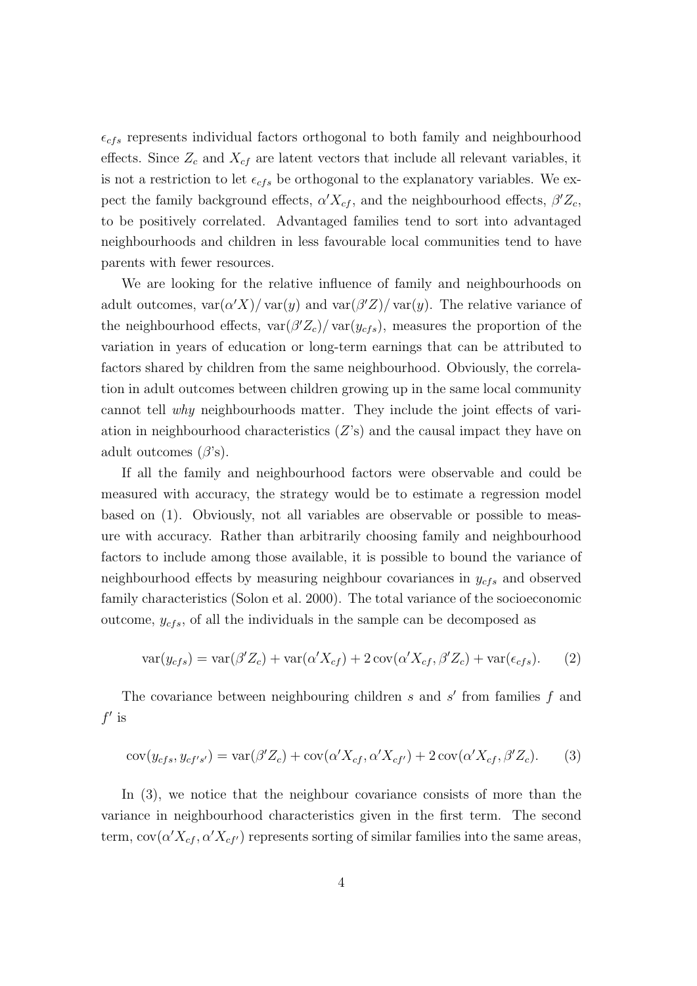$\epsilon_{cfs}$  represents individual factors orthogonal to both family and neighbourhood effects. Since  $Z_c$  and  $X_{cf}$  are latent vectors that include all relevant variables, it is not a restriction to let  $\epsilon_{cfs}$  be orthogonal to the explanatory variables. We expect the family background effects,  $\alpha' X_{cf}$ , and the neighbourhood effects,  $\beta' Z_c$ , to be positively correlated. Advantaged families tend to sort into advantaged neighbourhoods and children in less favourable local communities tend to have parents with fewer resources.

We are looking for the relative influence of family and neighbourhoods on adult outcomes,  $var(\alpha' X)/var(y)$  and  $var(\beta' Z)/var(y)$ . The relative variance of the neighbourhood effects,  $var(\beta' Z_c)/var(y_{cfs})$ , measures the proportion of the variation in years of education or long-term earnings that can be attributed to factors shared by children from the same neighbourhood. Obviously, the correlation in adult outcomes between children growing up in the same local community cannot tell why neighbourhoods matter. They include the joint effects of variation in neighbourhood characteristics  $(Z's)$  and the causal impact they have on adult outcomes  $(\beta's)$ .

If all the family and neighbourhood factors were observable and could be measured with accuracy, the strategy would be to estimate a regression model based on (1). Obviously, not all variables are observable or possible to measure with accuracy. Rather than arbitrarily choosing family and neighbourhood factors to include among those available, it is possible to bound the variance of neighbourhood effects by measuring neighbour covariances in  $y_{cfs}$  and observed family characteristics (Solon et al. 2000). The total variance of the socioeconomic outcome,  $y_{cfs}$ , of all the individuals in the sample can be decomposed as

$$
\text{var}(y_{cfs}) = \text{var}(\beta'Z_c) + \text{var}(\alpha'X_{cf}) + 2\text{cov}(\alpha'X_{cf}, \beta'Z_c) + \text{var}(\epsilon_{cfs}).\tag{2}
$$

The covariance between neighbouring children  $s$  and  $s'$  from families  $f$  and  $f'$  is

$$
cov(y_{cfs}, y_{cfs'}) = var(\beta'Z_c) + cov(\alpha'X_{cf}, \alpha'X_{cf'}) + 2 cov(\alpha'X_{cf}, \beta'Z_c).
$$
 (3)

In (3), we notice that the neighbour covariance consists of more than the variance in neighbourhood characteristics given in the first term. The second term,  $cov(\alpha' X_{cf}, \alpha' X_{cf})$  represents sorting of similar families into the same areas,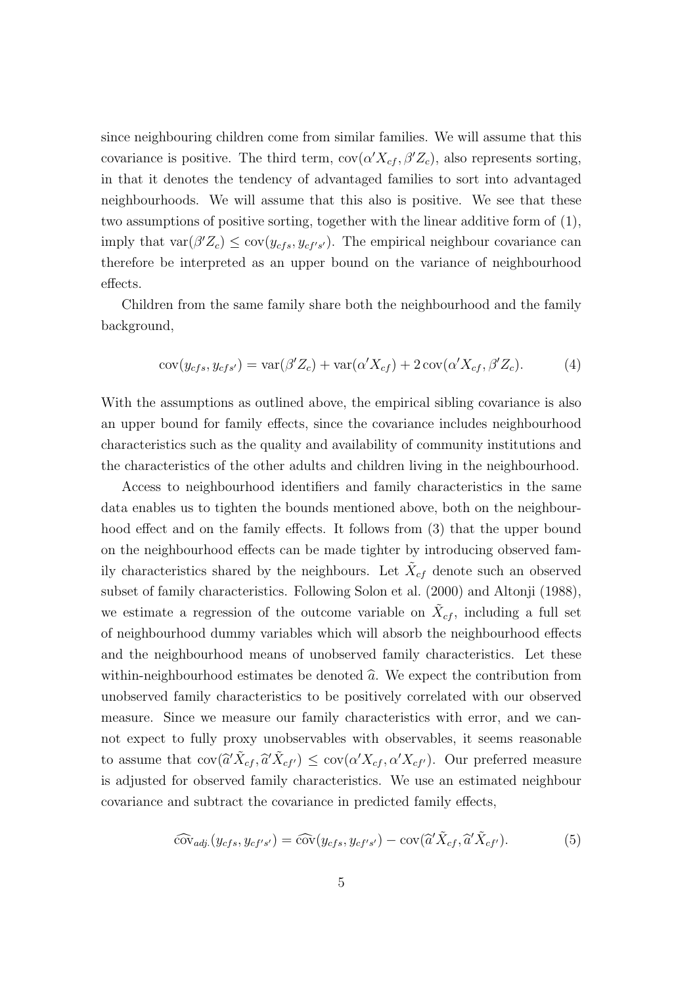since neighbouring children come from similar families. We will assume that this covariance is positive. The third term,  $cov(\alpha' X_{cf}, \beta' Z_c)$ , also represents sorting, in that it denotes the tendency of advantaged families to sort into advantaged neighbourhoods. We will assume that this also is positive. We see that these two assumptions of positive sorting, together with the linear additive form of (1), imply that  $\text{var}(\beta' Z_c) \leq \text{cov}(y_{cfs}, y_{cfs'})$ . The empirical neighbour covariance can therefore be interpreted as an upper bound on the variance of neighbourhood effects.

Children from the same family share both the neighbourhood and the family background,

$$
cov(y_{cfs}, y_{cfs'}) = var(\beta'Z_c) + var(\alpha'X_{cf}) + 2 cov(\alpha'X_{cf}, \beta'Z_c).
$$
 (4)

With the assumptions as outlined above, the empirical sibling covariance is also an upper bound for family effects, since the covariance includes neighbourhood characteristics such as the quality and availability of community institutions and the characteristics of the other adults and children living in the neighbourhood.

Access to neighbourhood identifiers and family characteristics in the same data enables us to tighten the bounds mentioned above, both on the neighbourhood effect and on the family effects. It follows from (3) that the upper bound on the neighbourhood effects can be made tighter by introducing observed family characteristics shared by the neighbours. Let  $\tilde{X}_{cf}$  denote such an observed subset of family characteristics. Following Solon et al. (2000) and Altonji (1988), we estimate a regression of the outcome variable on  $\tilde{X}_{cf}$ , including a full set of neighbourhood dummy variables which will absorb the neighbourhood effects and the neighbourhood means of unobserved family characteristics. Let these within-neighbourhood estimates be denoted  $\hat{a}$ . We expect the contribution from unobserved family characteristics to be positively correlated with our observed measure. Since we measure our family characteristics with error, and we cannot expect to fully proxy unobservables with observables, it seems reasonable to assume that  $cov(\hat{a}'\tilde{X}_{cf}, \hat{a}'\tilde{X}_{cf'}) \le cov(\alpha'X_{cf}, \alpha'X_{cf'})$ . Our preferred measure is adjusted for observed family characteristics. We use an estimated neighbour covariance and subtract the covariance in predicted family effects,

$$
\widehat{\text{cov}}_{adj.}(y_{cfs}, y_{cfs'}) = \widehat{\text{cov}}(y_{cfs}, y_{cfs'}) - \text{cov}(\widehat{a}' \tilde{X}_{cf}, \widehat{a}' \tilde{X}_{cf'}).
$$
(5)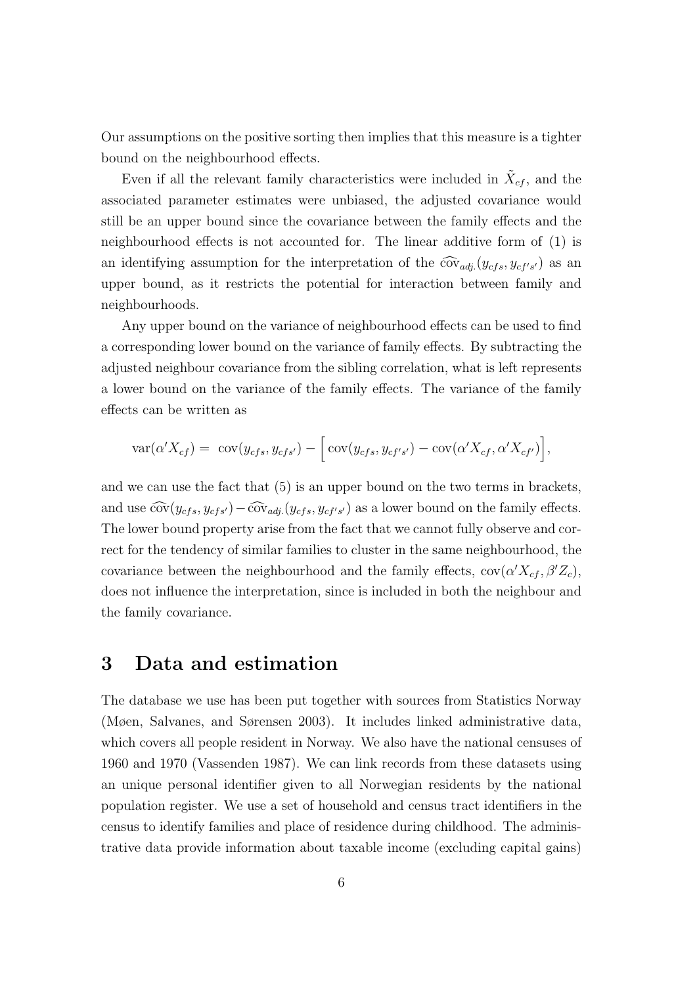Our assumptions on the positive sorting then implies that this measure is a tighter bound on the neighbourhood effects.

Even if all the relevant family characteristics were included in  $\tilde{X}_{cf}$ , and the associated parameter estimates were unbiased, the adjusted covariance would still be an upper bound since the covariance between the family effects and the neighbourhood effects is not accounted for. The linear additive form of (1) is an identifying assumption for the interpretation of the  $\widehat{cov}_{adj.}(y_{cfs}, y_{cfs'})$  as an upper bound, as it restricts the potential for interaction between family and neighbourhoods.

Any upper bound on the variance of neighbourhood effects can be used to find a corresponding lower bound on the variance of family effects. By subtracting the adjusted neighbour covariance from the sibling correlation, what is left represents a lower bound on the variance of the family effects. The variance of the family effects can be written as

$$
\text{var}(\alpha' X_{cf}) = \text{cov}(y_{cfs}, y_{cfs'}) - \left[\text{cov}(y_{cfs}, y_{cfs'}) - \text{cov}(\alpha' X_{cf}, \alpha' X_{cf'})\right],
$$

and we can use the fact that (5) is an upper bound on the two terms in brackets, and use  $\widehat{\text{cov}}(y_{cr,s}, y_{cr,s'}) - \widehat{\text{cov}}_{adj.}(y_{cr,s}, y_{cr,s'})$  as a lower bound on the family effects. The lower bound property arise from the fact that we cannot fully observe and correct for the tendency of similar families to cluster in the same neighbourhood, the covariance between the neighbourhood and the family effects,  $cov(\alpha' X_{cf}, \beta' Z_c)$ , does not influence the interpretation, since is included in both the neighbour and the family covariance.

# 3 Data and estimation

The database we use has been put together with sources from Statistics Norway (Møen, Salvanes, and Sørensen 2003). It includes linked administrative data, which covers all people resident in Norway. We also have the national censuses of 1960 and 1970 (Vassenden 1987). We can link records from these datasets using an unique personal identifier given to all Norwegian residents by the national population register. We use a set of household and census tract identifiers in the census to identify families and place of residence during childhood. The administrative data provide information about taxable income (excluding capital gains)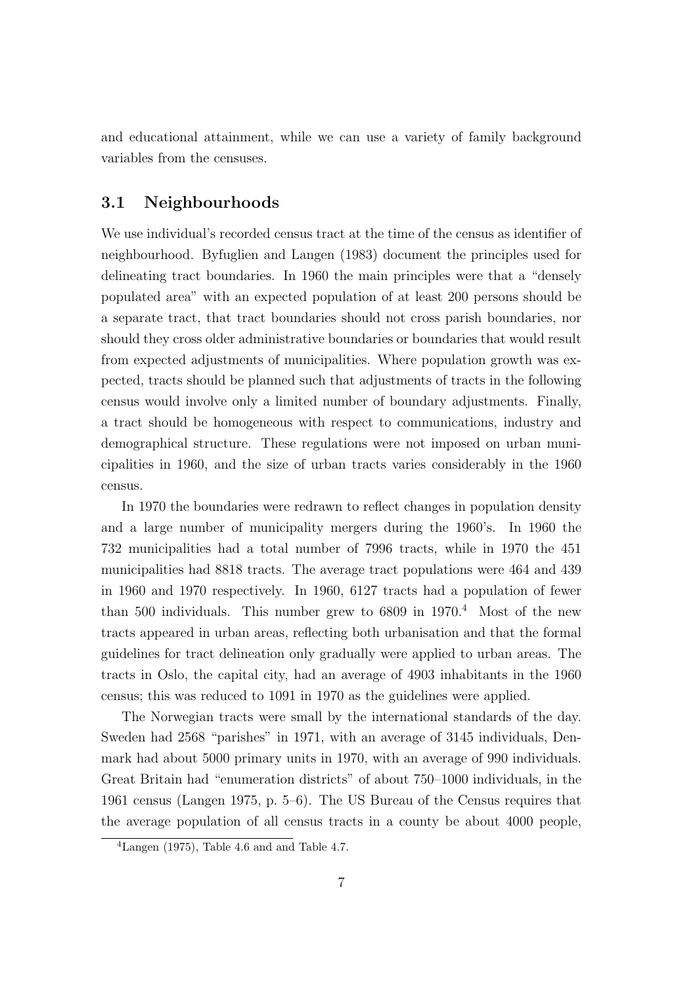and educational attainment, while we can use a variety of family background variables from the censuses.

#### 3.1 Neighbourhoods

We use individual's recorded census tract at the time of the census as identifier of neighbourhood. Byfuglien and Langen (1983) document the principles used for delineating tract boundaries. In 1960 the main principles were that a "densely populated area" with an expected population of at least 200 persons should be a separate tract, that tract boundaries should not cross parish boundaries, nor should they cross older administrative boundaries or boundaries that would result from expected adjustments of municipalities. Where population growth was expected, tracts should be planned such that adjustments of tracts in the following census would involve only a limited number of boundary adjustments. Finally, a tract should be homogeneous with respect to communications, industry and demographical structure. These regulations were not imposed on urban municipalities in 1960, and the size of urban tracts varies considerably in the 1960 census.

In 1970 the boundaries were redrawn to reflect changes in population density and a large number of municipality mergers during the 1960's. In 1960 the 732 municipalities had a total number of 7996 tracts, while in 1970 the 451 municipalities had 8818 tracts. The average tract populations were 464 and 439 in 1960 and 1970 respectively. In 1960, 6127 tracts had a population of fewer than 500 individuals. This number grew to  $6809$  in  $1970<sup>4</sup>$  Most of the new tracts appeared in urban areas, reflecting both urbanisation and that the formal guidelines for tract delineation only gradually were applied to urban areas. The tracts in Oslo, the capital city, had an average of 4903 inhabitants in the 1960 census; this was reduced to 1091 in 1970 as the guidelines were applied.

The Norwegian tracts were small by the international standards of the day. Sweden had 2568 "parishes" in 1971, with an average of 3145 individuals, Denmark had about 5000 primary units in 1970, with an average of 990 individuals. Great Britain had "enumeration districts" of about 750–1000 individuals, in the 1961 census (Langen 1975, p. 5–6). The US Bureau of the Census requires that the average population of all census tracts in a county be about 4000 people,

 $4$ Langen (1975), Table 4.6 and and Table 4.7.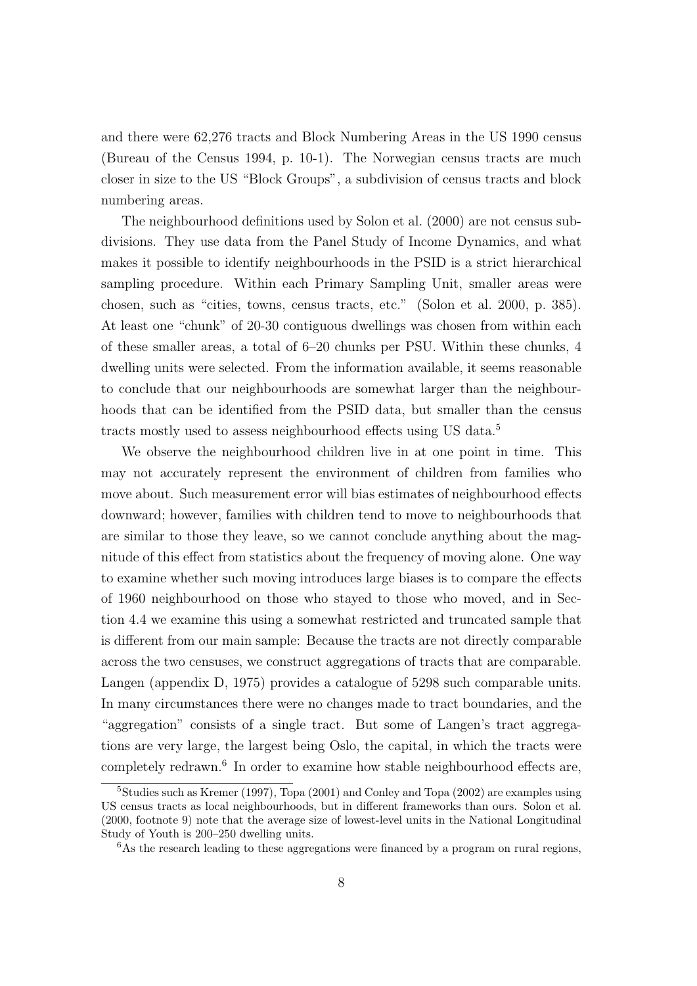and there were 62,276 tracts and Block Numbering Areas in the US 1990 census (Bureau of the Census 1994, p. 10-1). The Norwegian census tracts are much closer in size to the US "Block Groups", a subdivision of census tracts and block numbering areas.

The neighbourhood definitions used by Solon et al. (2000) are not census subdivisions. They use data from the Panel Study of Income Dynamics, and what makes it possible to identify neighbourhoods in the PSID is a strict hierarchical sampling procedure. Within each Primary Sampling Unit, smaller areas were chosen, such as "cities, towns, census tracts, etc." (Solon et al. 2000, p. 385). At least one "chunk" of 20-30 contiguous dwellings was chosen from within each of these smaller areas, a total of 6–20 chunks per PSU. Within these chunks, 4 dwelling units were selected. From the information available, it seems reasonable to conclude that our neighbourhoods are somewhat larger than the neighbourhoods that can be identified from the PSID data, but smaller than the census tracts mostly used to assess neighbourhood effects using US data.<sup>5</sup>

We observe the neighbourhood children live in at one point in time. This may not accurately represent the environment of children from families who move about. Such measurement error will bias estimates of neighbourhood effects downward; however, families with children tend to move to neighbourhoods that are similar to those they leave, so we cannot conclude anything about the magnitude of this effect from statistics about the frequency of moving alone. One way to examine whether such moving introduces large biases is to compare the effects of 1960 neighbourhood on those who stayed to those who moved, and in Section 4.4 we examine this using a somewhat restricted and truncated sample that is different from our main sample: Because the tracts are not directly comparable across the two censuses, we construct aggregations of tracts that are comparable. Langen (appendix D, 1975) provides a catalogue of 5298 such comparable units. In many circumstances there were no changes made to tract boundaries, and the "aggregation" consists of a single tract. But some of Langen's tract aggregations are very large, the largest being Oslo, the capital, in which the tracts were completely redrawn.<sup>6</sup> In order to examine how stable neighbourhood effects are,

<sup>5</sup>Studies such as Kremer (1997), Topa (2001) and Conley and Topa (2002) are examples using US census tracts as local neighbourhoods, but in different frameworks than ours. Solon et al. (2000, footnote 9) note that the average size of lowest-level units in the National Longitudinal Study of Youth is 200–250 dwelling units.

 $6$ As the research leading to these aggregations were financed by a program on rural regions,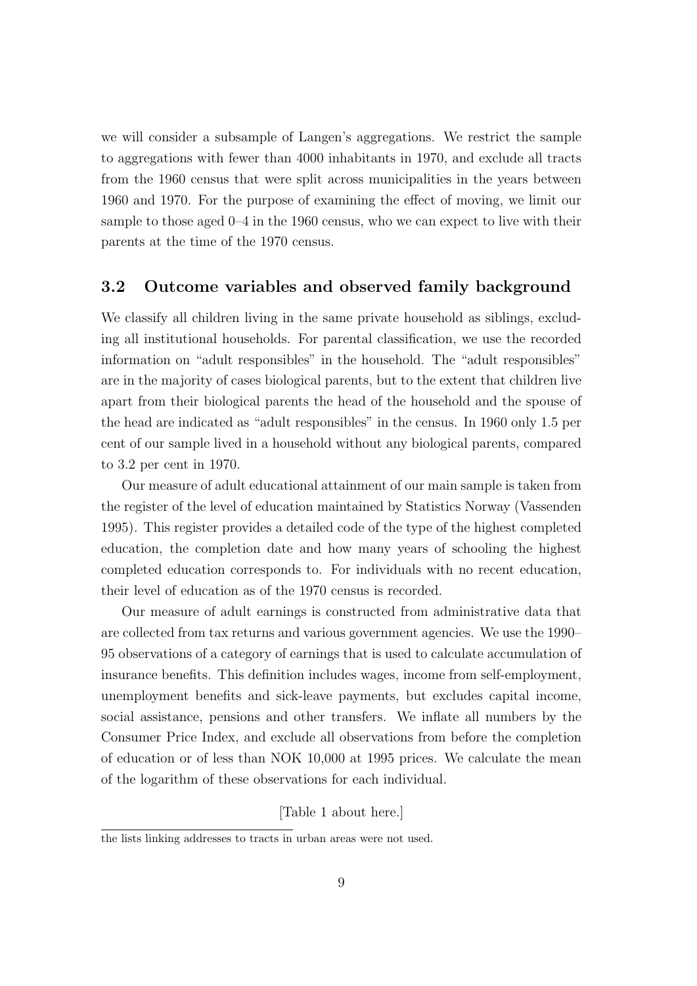we will consider a subsample of Langen's aggregations. We restrict the sample to aggregations with fewer than 4000 inhabitants in 1970, and exclude all tracts from the 1960 census that were split across municipalities in the years between 1960 and 1970. For the purpose of examining the effect of moving, we limit our sample to those aged 0–4 in the 1960 census, who we can expect to live with their parents at the time of the 1970 census.

#### 3.2 Outcome variables and observed family background

We classify all children living in the same private household as siblings, excluding all institutional households. For parental classification, we use the recorded information on "adult responsibles" in the household. The "adult responsibles" are in the majority of cases biological parents, but to the extent that children live apart from their biological parents the head of the household and the spouse of the head are indicated as "adult responsibles" in the census. In 1960 only 1.5 per cent of our sample lived in a household without any biological parents, compared to 3.2 per cent in 1970.

Our measure of adult educational attainment of our main sample is taken from the register of the level of education maintained by Statistics Norway (Vassenden 1995). This register provides a detailed code of the type of the highest completed education, the completion date and how many years of schooling the highest completed education corresponds to. For individuals with no recent education, their level of education as of the 1970 census is recorded.

Our measure of adult earnings is constructed from administrative data that are collected from tax returns and various government agencies. We use the 1990– 95 observations of a category of earnings that is used to calculate accumulation of insurance benefits. This definition includes wages, income from self-employment, unemployment benefits and sick-leave payments, but excludes capital income, social assistance, pensions and other transfers. We inflate all numbers by the Consumer Price Index, and exclude all observations from before the completion of education or of less than NOK 10,000 at 1995 prices. We calculate the mean of the logarithm of these observations for each individual.

[Table 1 about here.]

the lists linking addresses to tracts in urban areas were not used.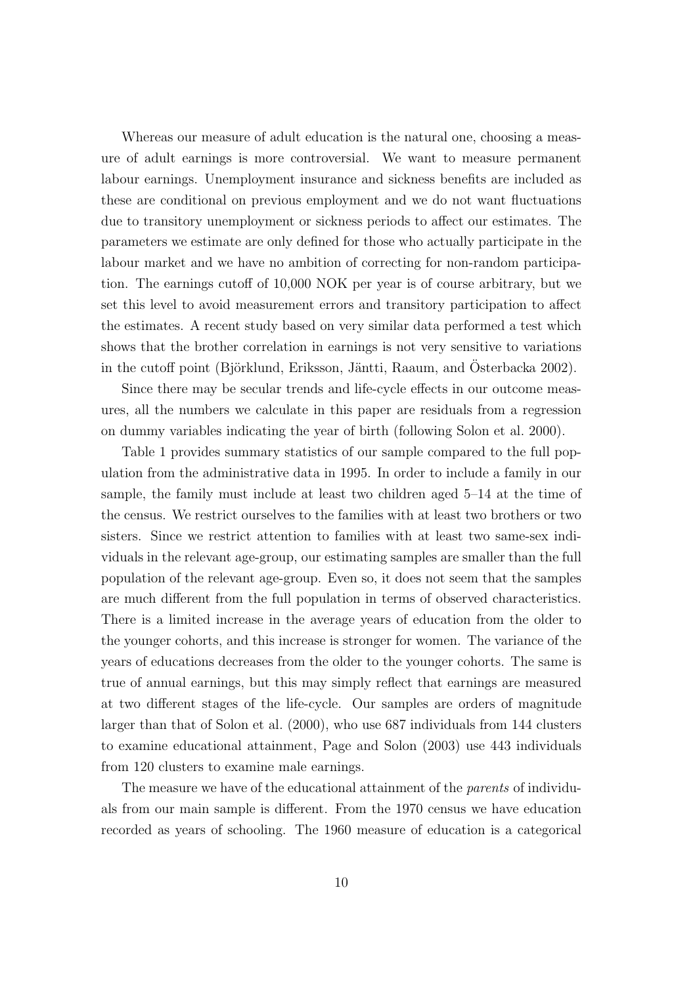Whereas our measure of adult education is the natural one, choosing a measure of adult earnings is more controversial. We want to measure permanent labour earnings. Unemployment insurance and sickness benefits are included as these are conditional on previous employment and we do not want fluctuations due to transitory unemployment or sickness periods to affect our estimates. The parameters we estimate are only defined for those who actually participate in the labour market and we have no ambition of correcting for non-random participation. The earnings cutoff of 10,000 NOK per year is of course arbitrary, but we set this level to avoid measurement errors and transitory participation to affect the estimates. A recent study based on very similar data performed a test which shows that the brother correlation in earnings is not very sensitive to variations in the cutoff point (Björklund, Eriksson, Jäntti, Raaum, and Osterbacka 2002).

Since there may be secular trends and life-cycle effects in our outcome measures, all the numbers we calculate in this paper are residuals from a regression on dummy variables indicating the year of birth (following Solon et al. 2000).

Table 1 provides summary statistics of our sample compared to the full population from the administrative data in 1995. In order to include a family in our sample, the family must include at least two children aged 5–14 at the time of the census. We restrict ourselves to the families with at least two brothers or two sisters. Since we restrict attention to families with at least two same-sex individuals in the relevant age-group, our estimating samples are smaller than the full population of the relevant age-group. Even so, it does not seem that the samples are much different from the full population in terms of observed characteristics. There is a limited increase in the average years of education from the older to the younger cohorts, and this increase is stronger for women. The variance of the years of educations decreases from the older to the younger cohorts. The same is true of annual earnings, but this may simply reflect that earnings are measured at two different stages of the life-cycle. Our samples are orders of magnitude larger than that of Solon et al. (2000), who use 687 individuals from 144 clusters to examine educational attainment, Page and Solon (2003) use 443 individuals from 120 clusters to examine male earnings.

The measure we have of the educational attainment of the parents of individuals from our main sample is different. From the 1970 census we have education recorded as years of schooling. The 1960 measure of education is a categorical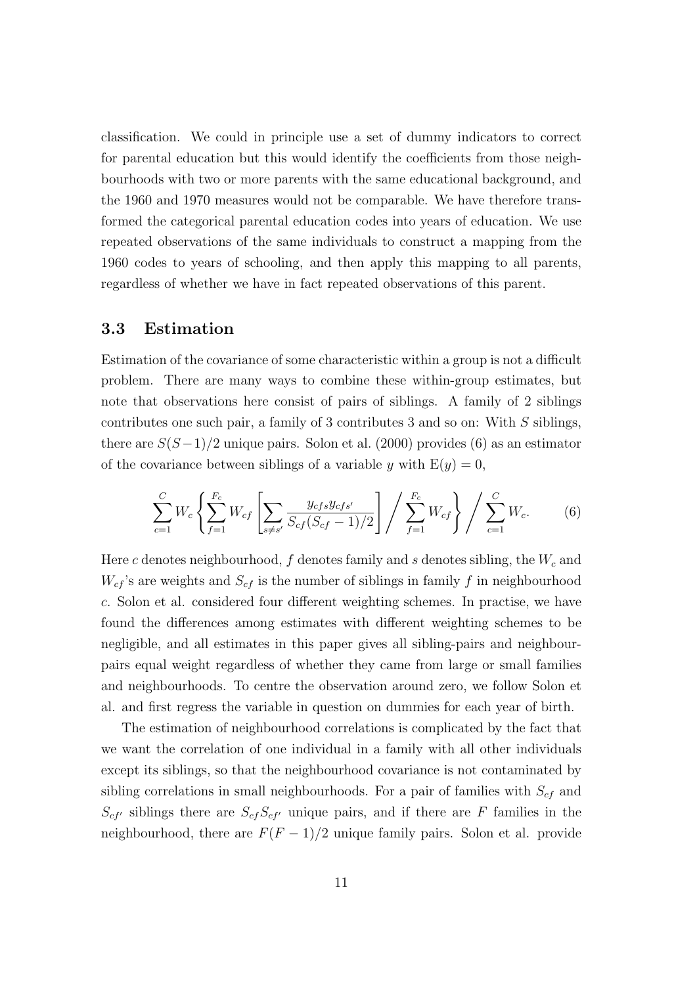classification. We could in principle use a set of dummy indicators to correct for parental education but this would identify the coefficients from those neighbourhoods with two or more parents with the same educational background, and the 1960 and 1970 measures would not be comparable. We have therefore transformed the categorical parental education codes into years of education. We use repeated observations of the same individuals to construct a mapping from the 1960 codes to years of schooling, and then apply this mapping to all parents, regardless of whether we have in fact repeated observations of this parent.

#### 3.3 Estimation

Estimation of the covariance of some characteristic within a group is not a difficult problem. There are many ways to combine these within-group estimates, but note that observations here consist of pairs of siblings. A family of 2 siblings contributes one such pair, a family of 3 contributes 3 and so on: With  $S$  siblings, there are  $S(S-1)/2$  unique pairs. Solon et al. (2000) provides (6) as an estimator of the covariance between siblings of a variable y with  $E(y) = 0$ ,

$$
\sum_{c=1}^{C} W_c \left\{ \sum_{f=1}^{F_c} W_{cf} \left[ \sum_{s \neq s'} \frac{y_{cfs} y_{cfs'}}{S_{cf} (S_{cf} - 1)/2} \right] / \sum_{f=1}^{F_c} W_{cf} \right\} / \sum_{c=1}^{C} W_c.
$$
 (6)

Here c denotes neighbourhood,  $f$  denotes family and  $s$  denotes sibling, the  $W_c$  and  $W_{cf}$ 's are weights and  $S_{cf}$  is the number of siblings in family f in neighbourhood c. Solon et al. considered four different weighting schemes. In practise, we have found the differences among estimates with different weighting schemes to be negligible, and all estimates in this paper gives all sibling-pairs and neighbourpairs equal weight regardless of whether they came from large or small families and neighbourhoods. To centre the observation around zero, we follow Solon et al. and first regress the variable in question on dummies for each year of birth.

The estimation of neighbourhood correlations is complicated by the fact that we want the correlation of one individual in a family with all other individuals except its siblings, so that the neighbourhood covariance is not contaminated by sibling correlations in small neighbourhoods. For a pair of families with  $S_{cf}$  and  $S_{cf}$  siblings there are  $S_{cf}S_{cf}$  unique pairs, and if there are F families in the neighbourhood, there are  $F(F-1)/2$  unique family pairs. Solon et al. provide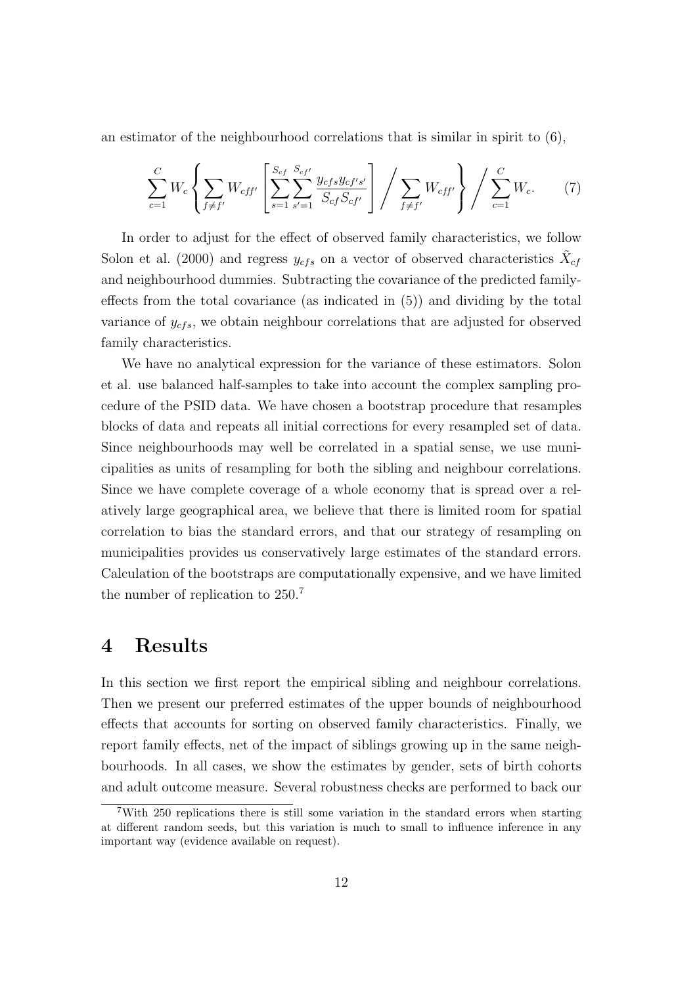an estimator of the neighbourhood correlations that is similar in spirit to  $(6)$ ,

$$
\sum_{c=1}^{C} W_c \left\{ \sum_{f \neq f'} W_{cff'} \left[ \sum_{s=1}^{S_{cf}} \sum_{s'=1}^{S_{cf'}} \frac{y_{cfs} y_{cf's'}}{S_{cf} S_{cf'}} \right] / \sum_{f \neq f'} W_{cff'} \right\} / \sum_{c=1}^{C} W_c.
$$
 (7)

In order to adjust for the effect of observed family characteristics, we follow Solon et al. (2000) and regress  $y_{cfs}$  on a vector of observed characteristics  $\tilde{X}_{cf}$ and neighbourhood dummies. Subtracting the covariance of the predicted familyeffects from the total covariance (as indicated in (5)) and dividing by the total variance of  $y_{cfs}$ , we obtain neighbour correlations that are adjusted for observed family characteristics.

We have no analytical expression for the variance of these estimators. Solon et al. use balanced half-samples to take into account the complex sampling procedure of the PSID data. We have chosen a bootstrap procedure that resamples blocks of data and repeats all initial corrections for every resampled set of data. Since neighbourhoods may well be correlated in a spatial sense, we use municipalities as units of resampling for both the sibling and neighbour correlations. Since we have complete coverage of a whole economy that is spread over a relatively large geographical area, we believe that there is limited room for spatial correlation to bias the standard errors, and that our strategy of resampling on municipalities provides us conservatively large estimates of the standard errors. Calculation of the bootstraps are computationally expensive, and we have limited the number of replication to 250.<sup>7</sup>

#### 4 Results

In this section we first report the empirical sibling and neighbour correlations. Then we present our preferred estimates of the upper bounds of neighbourhood effects that accounts for sorting on observed family characteristics. Finally, we report family effects, net of the impact of siblings growing up in the same neighbourhoods. In all cases, we show the estimates by gender, sets of birth cohorts and adult outcome measure. Several robustness checks are performed to back our

<sup>7</sup>With 250 replications there is still some variation in the standard errors when starting at different random seeds, but this variation is much to small to influence inference in any important way (evidence available on request).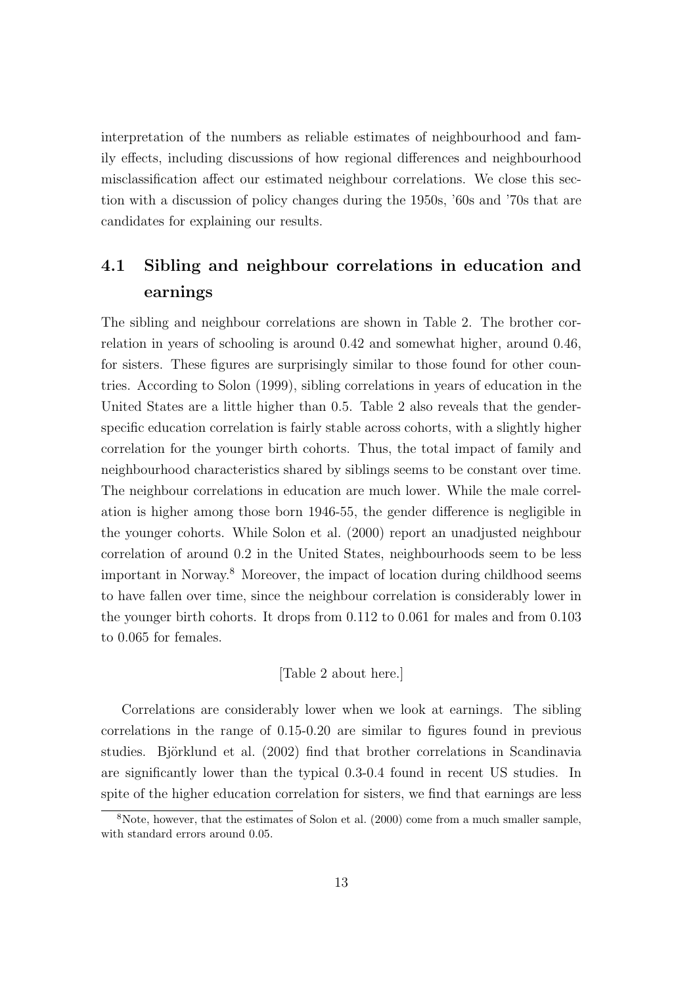interpretation of the numbers as reliable estimates of neighbourhood and family effects, including discussions of how regional differences and neighbourhood misclassification affect our estimated neighbour correlations. We close this section with a discussion of policy changes during the 1950s, '60s and '70s that are candidates for explaining our results.

# 4.1 Sibling and neighbour correlations in education and earnings

The sibling and neighbour correlations are shown in Table 2. The brother correlation in years of schooling is around 0.42 and somewhat higher, around 0.46, for sisters. These figures are surprisingly similar to those found for other countries. According to Solon (1999), sibling correlations in years of education in the United States are a little higher than 0.5. Table 2 also reveals that the genderspecific education correlation is fairly stable across cohorts, with a slightly higher correlation for the younger birth cohorts. Thus, the total impact of family and neighbourhood characteristics shared by siblings seems to be constant over time. The neighbour correlations in education are much lower. While the male correlation is higher among those born 1946-55, the gender difference is negligible in the younger cohorts. While Solon et al. (2000) report an unadjusted neighbour correlation of around 0.2 in the United States, neighbourhoods seem to be less important in Norway.<sup>8</sup> Moreover, the impact of location during childhood seems to have fallen over time, since the neighbour correlation is considerably lower in the younger birth cohorts. It drops from 0.112 to 0.061 for males and from 0.103 to 0.065 for females.

#### [Table 2 about here.]

Correlations are considerably lower when we look at earnings. The sibling correlations in the range of 0.15-0.20 are similar to figures found in previous studies. Björklund et al. (2002) find that brother correlations in Scandinavia are significantly lower than the typical 0.3-0.4 found in recent US studies. In spite of the higher education correlation for sisters, we find that earnings are less

<sup>8</sup>Note, however, that the estimates of Solon et al. (2000) come from a much smaller sample, with standard errors around 0.05.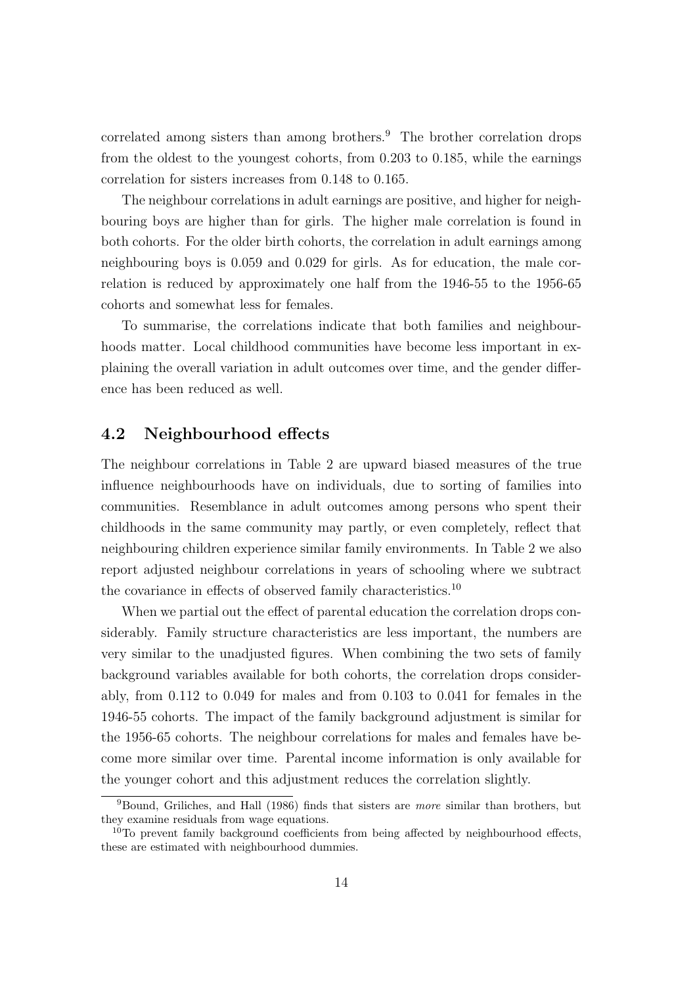correlated among sisters than among brothers.<sup>9</sup> The brother correlation drops from the oldest to the youngest cohorts, from 0.203 to 0.185, while the earnings correlation for sisters increases from 0.148 to 0.165.

The neighbour correlations in adult earnings are positive, and higher for neighbouring boys are higher than for girls. The higher male correlation is found in both cohorts. For the older birth cohorts, the correlation in adult earnings among neighbouring boys is 0.059 and 0.029 for girls. As for education, the male correlation is reduced by approximately one half from the 1946-55 to the 1956-65 cohorts and somewhat less for females.

To summarise, the correlations indicate that both families and neighbourhoods matter. Local childhood communities have become less important in explaining the overall variation in adult outcomes over time, and the gender difference has been reduced as well.

#### 4.2 Neighbourhood effects

The neighbour correlations in Table 2 are upward biased measures of the true influence neighbourhoods have on individuals, due to sorting of families into communities. Resemblance in adult outcomes among persons who spent their childhoods in the same community may partly, or even completely, reflect that neighbouring children experience similar family environments. In Table 2 we also report adjusted neighbour correlations in years of schooling where we subtract the covariance in effects of observed family characteristics.<sup>10</sup>

When we partial out the effect of parental education the correlation drops considerably. Family structure characteristics are less important, the numbers are very similar to the unadjusted figures. When combining the two sets of family background variables available for both cohorts, the correlation drops considerably, from 0.112 to 0.049 for males and from 0.103 to 0.041 for females in the 1946-55 cohorts. The impact of the family background adjustment is similar for the 1956-65 cohorts. The neighbour correlations for males and females have become more similar over time. Parental income information is only available for the younger cohort and this adjustment reduces the correlation slightly.

<sup>9</sup>Bound, Griliches, and Hall (1986) finds that sisters are more similar than brothers, but they examine residuals from wage equations.

 $10$ To prevent family background coefficients from being affected by neighbourhood effects, these are estimated with neighbourhood dummies.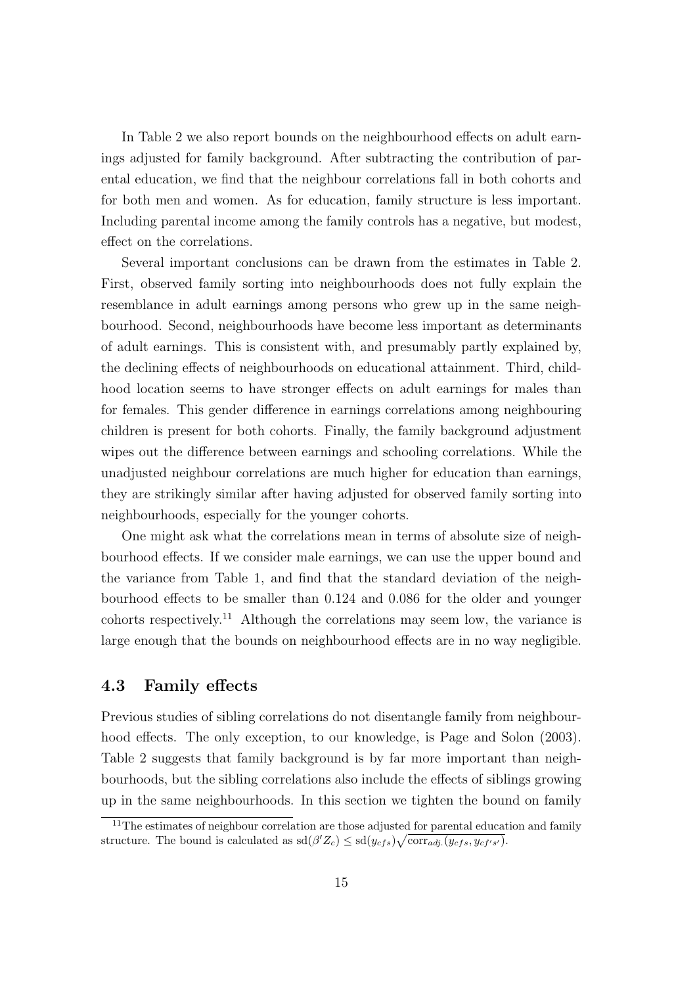In Table 2 we also report bounds on the neighbourhood effects on adult earnings adjusted for family background. After subtracting the contribution of parental education, we find that the neighbour correlations fall in both cohorts and for both men and women. As for education, family structure is less important. Including parental income among the family controls has a negative, but modest, effect on the correlations.

Several important conclusions can be drawn from the estimates in Table 2. First, observed family sorting into neighbourhoods does not fully explain the resemblance in adult earnings among persons who grew up in the same neighbourhood. Second, neighbourhoods have become less important as determinants of adult earnings. This is consistent with, and presumably partly explained by, the declining effects of neighbourhoods on educational attainment. Third, childhood location seems to have stronger effects on adult earnings for males than for females. This gender difference in earnings correlations among neighbouring children is present for both cohorts. Finally, the family background adjustment wipes out the difference between earnings and schooling correlations. While the unadjusted neighbour correlations are much higher for education than earnings, they are strikingly similar after having adjusted for observed family sorting into neighbourhoods, especially for the younger cohorts.

One might ask what the correlations mean in terms of absolute size of neighbourhood effects. If we consider male earnings, we can use the upper bound and the variance from Table 1, and find that the standard deviation of the neighbourhood effects to be smaller than 0.124 and 0.086 for the older and younger cohorts respectively.<sup>11</sup> Although the correlations may seem low, the variance is large enough that the bounds on neighbourhood effects are in no way negligible.

#### 4.3 Family effects

Previous studies of sibling correlations do not disentangle family from neighbourhood effects. The only exception, to our knowledge, is Page and Solon (2003). Table 2 suggests that family background is by far more important than neighbourhoods, but the sibling correlations also include the effects of siblings growing up in the same neighbourhoods. In this section we tighten the bound on family

 $11$ The estimates of neighbour correlation are those adjusted for parental education and family structure. The bound is calculated as  $sd(\beta' Z_c) \le sd(y_{cfs})\sqrt{\text{corr}_{adj.}(y_{cfs}, y_{cfs})}$ .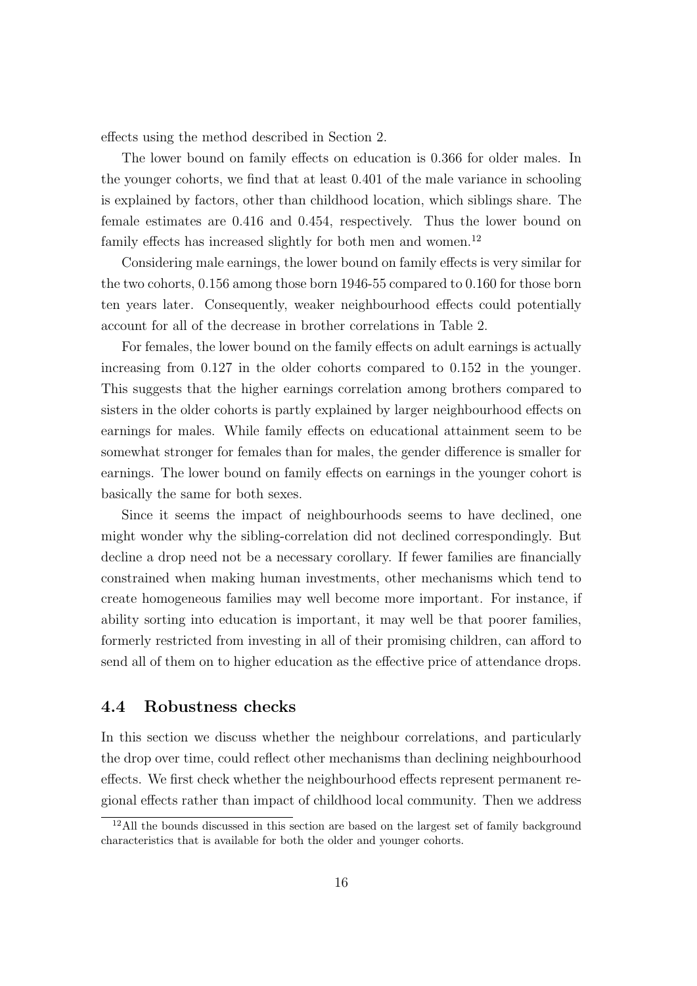effects using the method described in Section 2.

The lower bound on family effects on education is 0.366 for older males. In the younger cohorts, we find that at least 0.401 of the male variance in schooling is explained by factors, other than childhood location, which siblings share. The female estimates are 0.416 and 0.454, respectively. Thus the lower bound on family effects has increased slightly for both men and women.<sup>12</sup>

Considering male earnings, the lower bound on family effects is very similar for the two cohorts, 0.156 among those born 1946-55 compared to 0.160 for those born ten years later. Consequently, weaker neighbourhood effects could potentially account for all of the decrease in brother correlations in Table 2.

For females, the lower bound on the family effects on adult earnings is actually increasing from 0.127 in the older cohorts compared to 0.152 in the younger. This suggests that the higher earnings correlation among brothers compared to sisters in the older cohorts is partly explained by larger neighbourhood effects on earnings for males. While family effects on educational attainment seem to be somewhat stronger for females than for males, the gender difference is smaller for earnings. The lower bound on family effects on earnings in the younger cohort is basically the same for both sexes.

Since it seems the impact of neighbourhoods seems to have declined, one might wonder why the sibling-correlation did not declined correspondingly. But decline a drop need not be a necessary corollary. If fewer families are financially constrained when making human investments, other mechanisms which tend to create homogeneous families may well become more important. For instance, if ability sorting into education is important, it may well be that poorer families, formerly restricted from investing in all of their promising children, can afford to send all of them on to higher education as the effective price of attendance drops.

#### 4.4 Robustness checks

In this section we discuss whether the neighbour correlations, and particularly the drop over time, could reflect other mechanisms than declining neighbourhood effects. We first check whether the neighbourhood effects represent permanent regional effects rather than impact of childhood local community. Then we address

 $12$ All the bounds discussed in this section are based on the largest set of family background characteristics that is available for both the older and younger cohorts.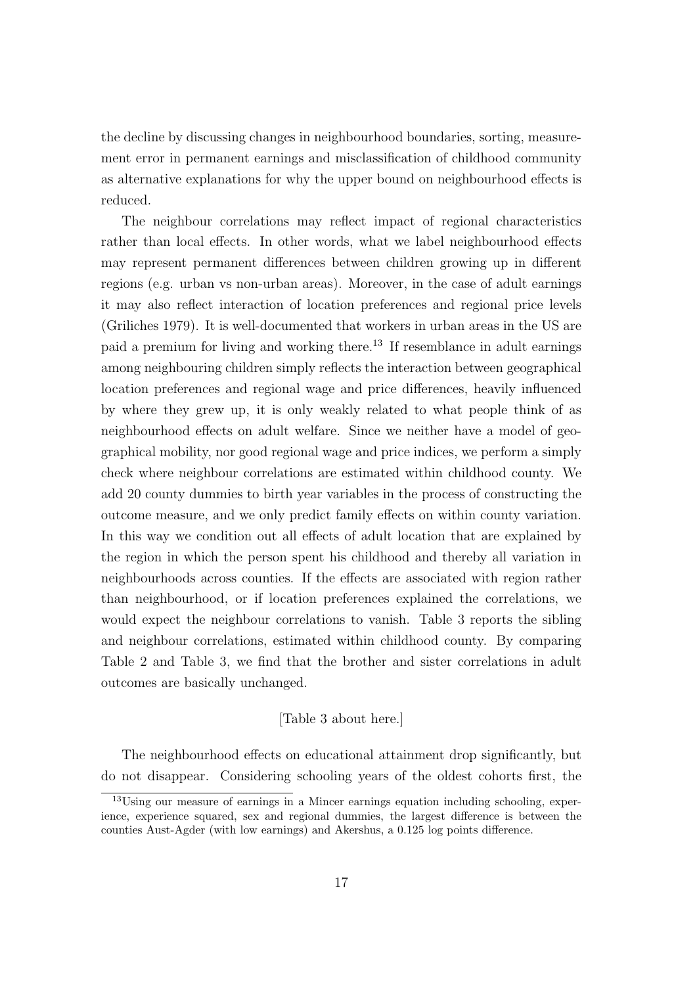the decline by discussing changes in neighbourhood boundaries, sorting, measurement error in permanent earnings and misclassification of childhood community as alternative explanations for why the upper bound on neighbourhood effects is reduced.

The neighbour correlations may reflect impact of regional characteristics rather than local effects. In other words, what we label neighbourhood effects may represent permanent differences between children growing up in different regions (e.g. urban vs non-urban areas). Moreover, in the case of adult earnings it may also reflect interaction of location preferences and regional price levels (Griliches 1979). It is well-documented that workers in urban areas in the US are paid a premium for living and working there.<sup>13</sup> If resemblance in adult earnings among neighbouring children simply reflects the interaction between geographical location preferences and regional wage and price differences, heavily influenced by where they grew up, it is only weakly related to what people think of as neighbourhood effects on adult welfare. Since we neither have a model of geographical mobility, nor good regional wage and price indices, we perform a simply check where neighbour correlations are estimated within childhood county. We add 20 county dummies to birth year variables in the process of constructing the outcome measure, and we only predict family effects on within county variation. In this way we condition out all effects of adult location that are explained by the region in which the person spent his childhood and thereby all variation in neighbourhoods across counties. If the effects are associated with region rather than neighbourhood, or if location preferences explained the correlations, we would expect the neighbour correlations to vanish. Table 3 reports the sibling and neighbour correlations, estimated within childhood county. By comparing Table 2 and Table 3, we find that the brother and sister correlations in adult outcomes are basically unchanged.

#### [Table 3 about here.]

The neighbourhood effects on educational attainment drop significantly, but do not disappear. Considering schooling years of the oldest cohorts first, the

<sup>&</sup>lt;sup>13</sup>Using our measure of earnings in a Mincer earnings equation including schooling, experience, experience squared, sex and regional dummies, the largest difference is between the counties Aust-Agder (with low earnings) and Akershus, a 0.125 log points difference.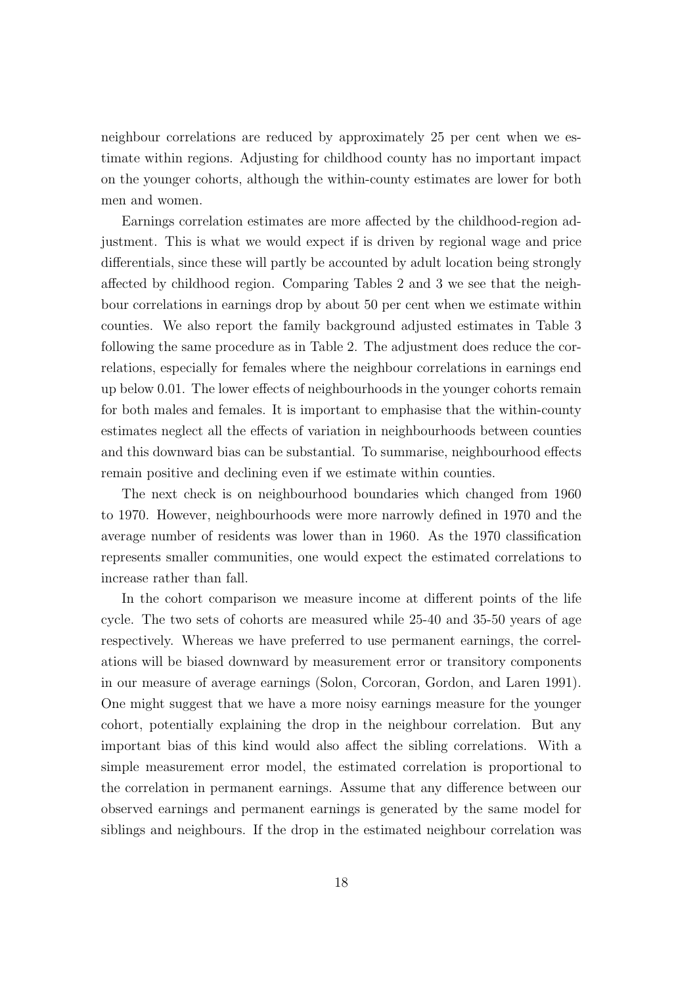neighbour correlations are reduced by approximately 25 per cent when we estimate within regions. Adjusting for childhood county has no important impact on the younger cohorts, although the within-county estimates are lower for both men and women.

Earnings correlation estimates are more affected by the childhood-region adjustment. This is what we would expect if is driven by regional wage and price differentials, since these will partly be accounted by adult location being strongly affected by childhood region. Comparing Tables 2 and 3 we see that the neighbour correlations in earnings drop by about 50 per cent when we estimate within counties. We also report the family background adjusted estimates in Table 3 following the same procedure as in Table 2. The adjustment does reduce the correlations, especially for females where the neighbour correlations in earnings end up below 0.01. The lower effects of neighbourhoods in the younger cohorts remain for both males and females. It is important to emphasise that the within-county estimates neglect all the effects of variation in neighbourhoods between counties and this downward bias can be substantial. To summarise, neighbourhood effects remain positive and declining even if we estimate within counties.

The next check is on neighbourhood boundaries which changed from 1960 to 1970. However, neighbourhoods were more narrowly defined in 1970 and the average number of residents was lower than in 1960. As the 1970 classification represents smaller communities, one would expect the estimated correlations to increase rather than fall.

In the cohort comparison we measure income at different points of the life cycle. The two sets of cohorts are measured while 25-40 and 35-50 years of age respectively. Whereas we have preferred to use permanent earnings, the correlations will be biased downward by measurement error or transitory components in our measure of average earnings (Solon, Corcoran, Gordon, and Laren 1991). One might suggest that we have a more noisy earnings measure for the younger cohort, potentially explaining the drop in the neighbour correlation. But any important bias of this kind would also affect the sibling correlations. With a simple measurement error model, the estimated correlation is proportional to the correlation in permanent earnings. Assume that any difference between our observed earnings and permanent earnings is generated by the same model for siblings and neighbours. If the drop in the estimated neighbour correlation was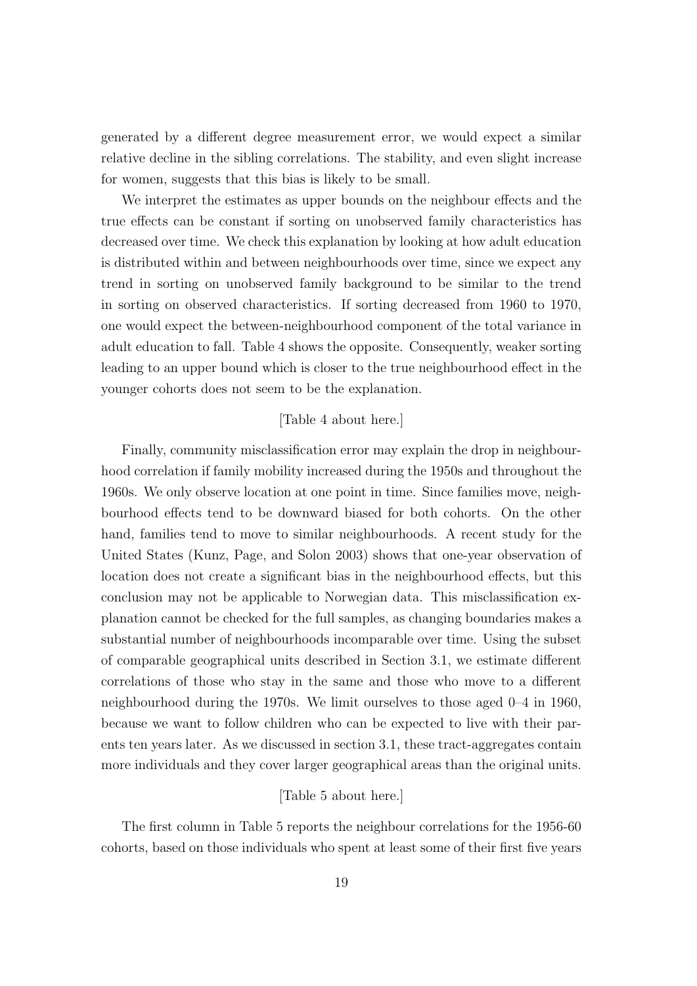generated by a different degree measurement error, we would expect a similar relative decline in the sibling correlations. The stability, and even slight increase for women, suggests that this bias is likely to be small.

We interpret the estimates as upper bounds on the neighbour effects and the true effects can be constant if sorting on unobserved family characteristics has decreased over time. We check this explanation by looking at how adult education is distributed within and between neighbourhoods over time, since we expect any trend in sorting on unobserved family background to be similar to the trend in sorting on observed characteristics. If sorting decreased from 1960 to 1970, one would expect the between-neighbourhood component of the total variance in adult education to fall. Table 4 shows the opposite. Consequently, weaker sorting leading to an upper bound which is closer to the true neighbourhood effect in the younger cohorts does not seem to be the explanation.

#### [Table 4 about here.]

Finally, community misclassification error may explain the drop in neighbourhood correlation if family mobility increased during the 1950s and throughout the 1960s. We only observe location at one point in time. Since families move, neighbourhood effects tend to be downward biased for both cohorts. On the other hand, families tend to move to similar neighbourhoods. A recent study for the United States (Kunz, Page, and Solon 2003) shows that one-year observation of location does not create a significant bias in the neighbourhood effects, but this conclusion may not be applicable to Norwegian data. This misclassification explanation cannot be checked for the full samples, as changing boundaries makes a substantial number of neighbourhoods incomparable over time. Using the subset of comparable geographical units described in Section 3.1, we estimate different correlations of those who stay in the same and those who move to a different neighbourhood during the 1970s. We limit ourselves to those aged 0–4 in 1960, because we want to follow children who can be expected to live with their parents ten years later. As we discussed in section 3.1, these tract-aggregates contain more individuals and they cover larger geographical areas than the original units.

#### [Table 5 about here.]

The first column in Table 5 reports the neighbour correlations for the 1956-60 cohorts, based on those individuals who spent at least some of their first five years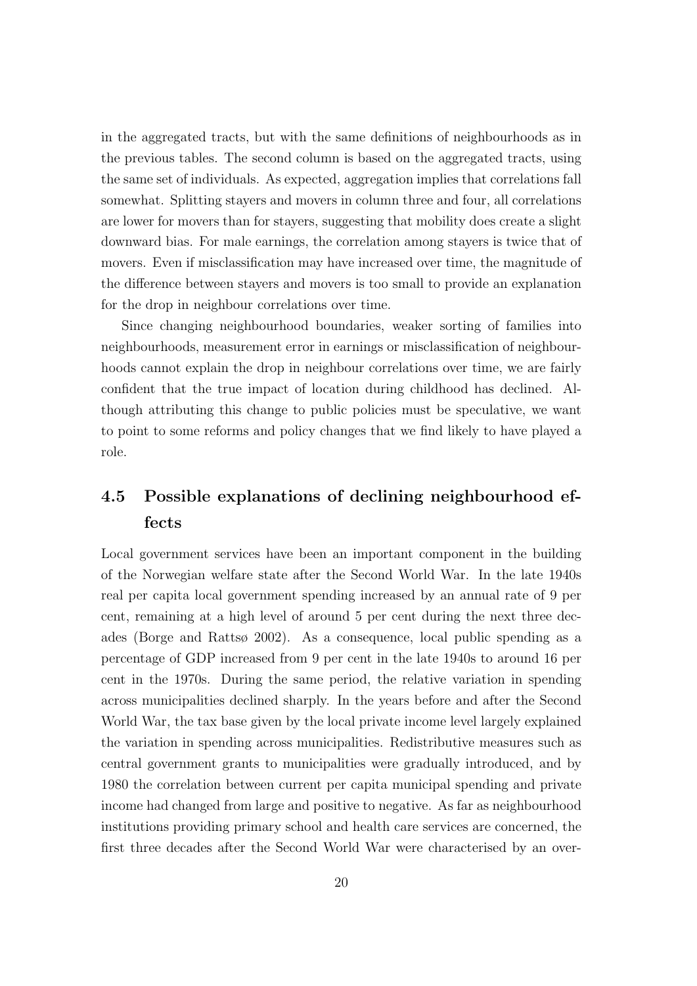in the aggregated tracts, but with the same definitions of neighbourhoods as in the previous tables. The second column is based on the aggregated tracts, using the same set of individuals. As expected, aggregation implies that correlations fall somewhat. Splitting stayers and movers in column three and four, all correlations are lower for movers than for stayers, suggesting that mobility does create a slight downward bias. For male earnings, the correlation among stayers is twice that of movers. Even if misclassification may have increased over time, the magnitude of the difference between stayers and movers is too small to provide an explanation for the drop in neighbour correlations over time.

Since changing neighbourhood boundaries, weaker sorting of families into neighbourhoods, measurement error in earnings or misclassification of neighbourhoods cannot explain the drop in neighbour correlations over time, we are fairly confident that the true impact of location during childhood has declined. Although attributing this change to public policies must be speculative, we want to point to some reforms and policy changes that we find likely to have played a role.

# 4.5 Possible explanations of declining neighbourhood effects

Local government services have been an important component in the building of the Norwegian welfare state after the Second World War. In the late 1940s real per capita local government spending increased by an annual rate of 9 per cent, remaining at a high level of around 5 per cent during the next three decades (Borge and Rattsø 2002). As a consequence, local public spending as a percentage of GDP increased from 9 per cent in the late 1940s to around 16 per cent in the 1970s. During the same period, the relative variation in spending across municipalities declined sharply. In the years before and after the Second World War, the tax base given by the local private income level largely explained the variation in spending across municipalities. Redistributive measures such as central government grants to municipalities were gradually introduced, and by 1980 the correlation between current per capita municipal spending and private income had changed from large and positive to negative. As far as neighbourhood institutions providing primary school and health care services are concerned, the first three decades after the Second World War were characterised by an over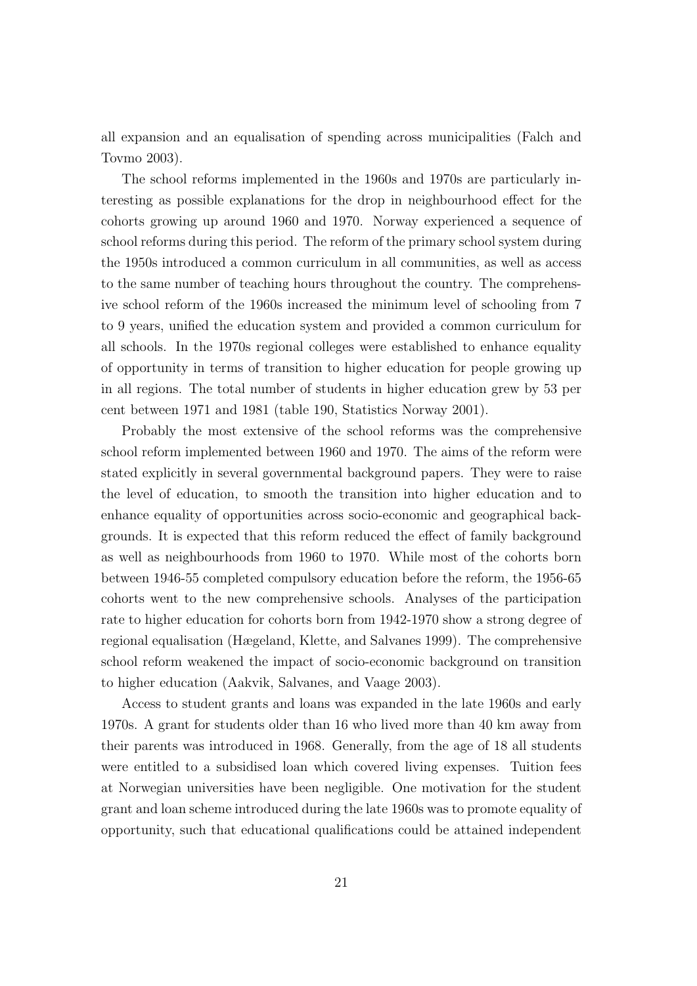all expansion and an equalisation of spending across municipalities (Falch and Tovmo 2003).

The school reforms implemented in the 1960s and 1970s are particularly interesting as possible explanations for the drop in neighbourhood effect for the cohorts growing up around 1960 and 1970. Norway experienced a sequence of school reforms during this period. The reform of the primary school system during the 1950s introduced a common curriculum in all communities, as well as access to the same number of teaching hours throughout the country. The comprehensive school reform of the 1960s increased the minimum level of schooling from 7 to 9 years, unified the education system and provided a common curriculum for all schools. In the 1970s regional colleges were established to enhance equality of opportunity in terms of transition to higher education for people growing up in all regions. The total number of students in higher education grew by 53 per cent between 1971 and 1981 (table 190, Statistics Norway 2001).

Probably the most extensive of the school reforms was the comprehensive school reform implemented between 1960 and 1970. The aims of the reform were stated explicitly in several governmental background papers. They were to raise the level of education, to smooth the transition into higher education and to enhance equality of opportunities across socio-economic and geographical backgrounds. It is expected that this reform reduced the effect of family background as well as neighbourhoods from 1960 to 1970. While most of the cohorts born between 1946-55 completed compulsory education before the reform, the 1956-65 cohorts went to the new comprehensive schools. Analyses of the participation rate to higher education for cohorts born from 1942-1970 show a strong degree of regional equalisation (Hægeland, Klette, and Salvanes 1999). The comprehensive school reform weakened the impact of socio-economic background on transition to higher education (Aakvik, Salvanes, and Vaage 2003).

Access to student grants and loans was expanded in the late 1960s and early 1970s. A grant for students older than 16 who lived more than 40 km away from their parents was introduced in 1968. Generally, from the age of 18 all students were entitled to a subsidised loan which covered living expenses. Tuition fees at Norwegian universities have been negligible. One motivation for the student grant and loan scheme introduced during the late 1960s was to promote equality of opportunity, such that educational qualifications could be attained independent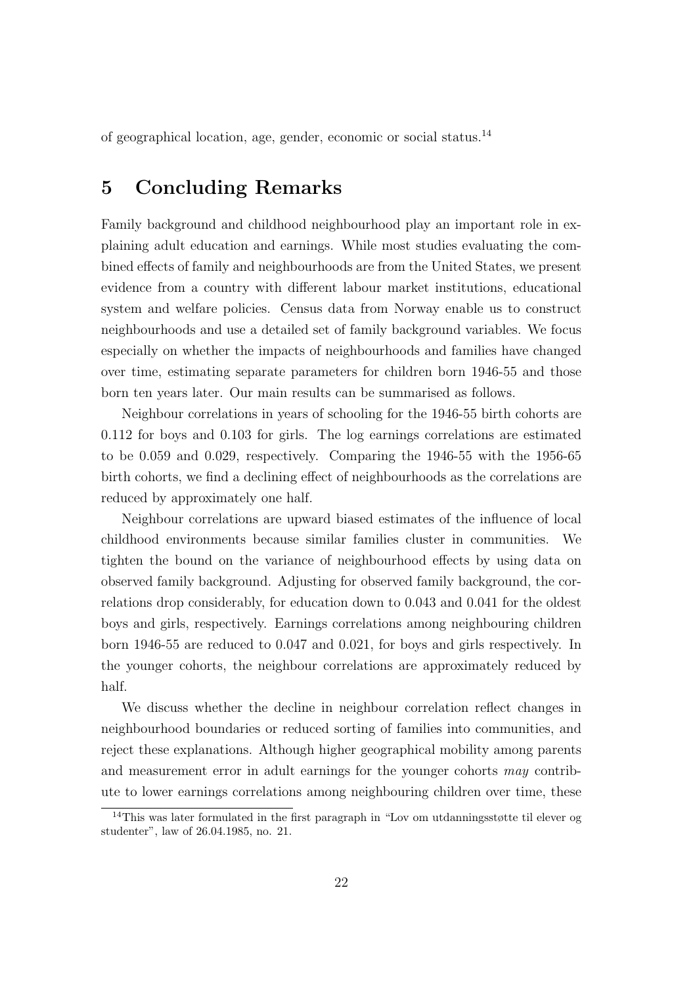of geographical location, age, gender, economic or social status.<sup>14</sup>

### 5 Concluding Remarks

Family background and childhood neighbourhood play an important role in explaining adult education and earnings. While most studies evaluating the combined effects of family and neighbourhoods are from the United States, we present evidence from a country with different labour market institutions, educational system and welfare policies. Census data from Norway enable us to construct neighbourhoods and use a detailed set of family background variables. We focus especially on whether the impacts of neighbourhoods and families have changed over time, estimating separate parameters for children born 1946-55 and those born ten years later. Our main results can be summarised as follows.

Neighbour correlations in years of schooling for the 1946-55 birth cohorts are 0.112 for boys and 0.103 for girls. The log earnings correlations are estimated to be 0.059 and 0.029, respectively. Comparing the 1946-55 with the 1956-65 birth cohorts, we find a declining effect of neighbourhoods as the correlations are reduced by approximately one half.

Neighbour correlations are upward biased estimates of the influence of local childhood environments because similar families cluster in communities. We tighten the bound on the variance of neighbourhood effects by using data on observed family background. Adjusting for observed family background, the correlations drop considerably, for education down to 0.043 and 0.041 for the oldest boys and girls, respectively. Earnings correlations among neighbouring children born 1946-55 are reduced to 0.047 and 0.021, for boys and girls respectively. In the younger cohorts, the neighbour correlations are approximately reduced by half.

We discuss whether the decline in neighbour correlation reflect changes in neighbourhood boundaries or reduced sorting of families into communities, and reject these explanations. Although higher geographical mobility among parents and measurement error in adult earnings for the younger cohorts may contribute to lower earnings correlations among neighbouring children over time, these

<sup>14</sup>This was later formulated in the first paragraph in "Lov om utdanningsstøtte til elever og studenter", law of 26.04.1985, no. 21.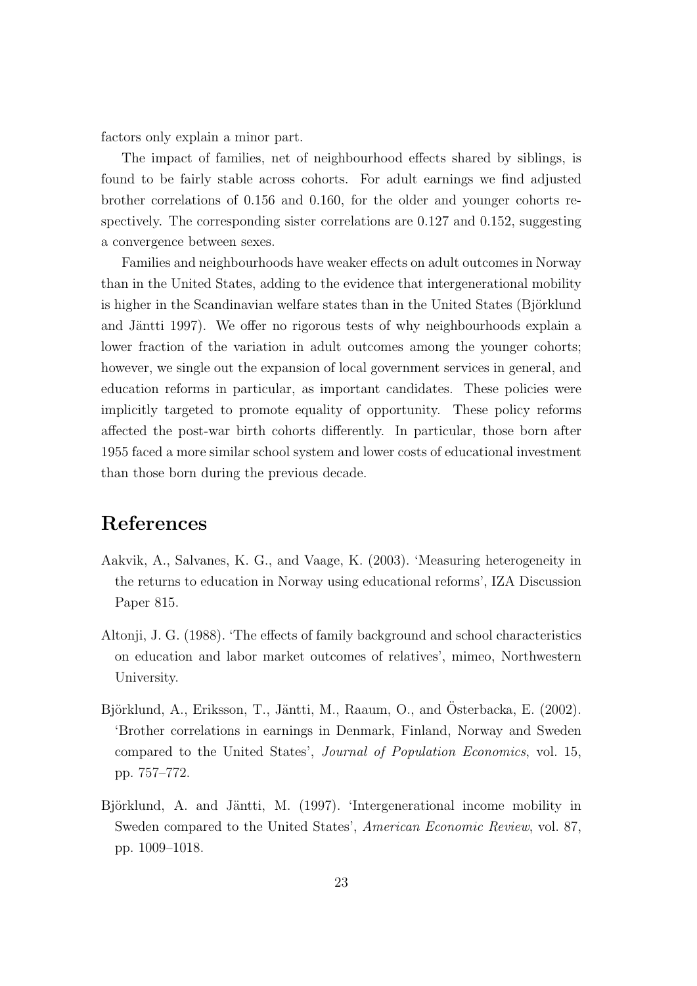factors only explain a minor part.

The impact of families, net of neighbourhood effects shared by siblings, is found to be fairly stable across cohorts. For adult earnings we find adjusted brother correlations of 0.156 and 0.160, for the older and younger cohorts respectively. The corresponding sister correlations are 0.127 and 0.152, suggesting a convergence between sexes.

Families and neighbourhoods have weaker effects on adult outcomes in Norway than in the United States, adding to the evidence that intergenerational mobility is higher in the Scandinavian welfare states than in the United States (Björklund and Jäntti 1997). We offer no rigorous tests of why neighbourhoods explain a lower fraction of the variation in adult outcomes among the younger cohorts; however, we single out the expansion of local government services in general, and education reforms in particular, as important candidates. These policies were implicitly targeted to promote equality of opportunity. These policy reforms affected the post-war birth cohorts differently. In particular, those born after 1955 faced a more similar school system and lower costs of educational investment than those born during the previous decade.

# References

- Aakvik, A., Salvanes, K. G., and Vaage, K. (2003). 'Measuring heterogeneity in the returns to education in Norway using educational reforms', IZA Discussion Paper 815.
- Altonji, J. G. (1988). 'The effects of family background and school characteristics on education and labor market outcomes of relatives', mimeo, Northwestern University.
- Björklund, A., Eriksson, T., Jäntti, M., Raaum, O., and Österbacka, E. (2002). 'Brother correlations in earnings in Denmark, Finland, Norway and Sweden compared to the United States', Journal of Population Economics, vol. 15, pp. 757–772.
- Björklund, A. and Jäntti, M. (1997). 'Intergenerational income mobility in Sweden compared to the United States', American Economic Review, vol. 87, pp. 1009–1018.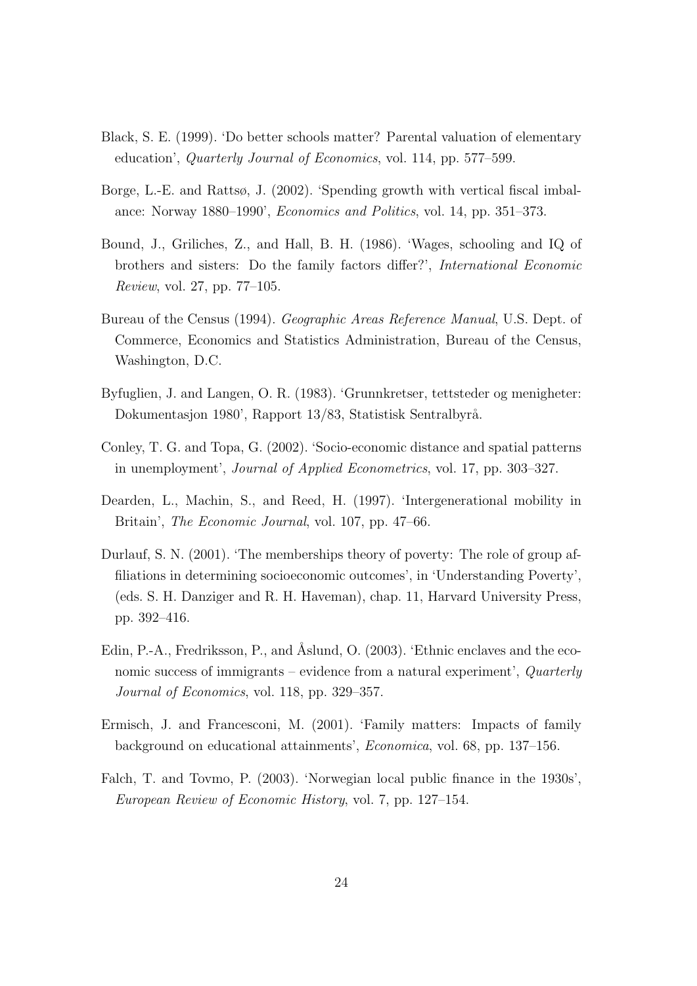- Black, S. E. (1999). 'Do better schools matter? Parental valuation of elementary education', Quarterly Journal of Economics, vol. 114, pp. 577–599.
- Borge, L.-E. and Rattsø, J. (2002). 'Spending growth with vertical fiscal imbalance: Norway 1880–1990', Economics and Politics, vol. 14, pp. 351–373.
- Bound, J., Griliches, Z., and Hall, B. H. (1986). 'Wages, schooling and IQ of brothers and sisters: Do the family factors differ?', International Economic Review, vol. 27, pp. 77–105.
- Bureau of the Census (1994). Geographic Areas Reference Manual, U.S. Dept. of Commerce, Economics and Statistics Administration, Bureau of the Census, Washington, D.C.
- Byfuglien, J. and Langen, O. R. (1983). 'Grunnkretser, tettsteder og menigheter: Dokumentasjon 1980', Rapport 13/83, Statistisk Sentralbyrå.
- Conley, T. G. and Topa, G. (2002). 'Socio-economic distance and spatial patterns in unemployment', Journal of Applied Econometrics, vol. 17, pp. 303–327.
- Dearden, L., Machin, S., and Reed, H. (1997). 'Intergenerational mobility in Britain', The Economic Journal, vol. 107, pp. 47–66.
- Durlauf, S. N. (2001). 'The memberships theory of poverty: The role of group affiliations in determining socioeconomic outcomes', in 'Understanding Poverty', (eds. S. H. Danziger and R. H. Haveman), chap. 11, Harvard University Press, pp. 392–416.
- Edin, P.-A., Fredriksson, P., and Åslund, O. (2003). 'Ethnic enclaves and the economic success of immigrants – evidence from a natural experiment', Quarterly Journal of Economics, vol. 118, pp. 329–357.
- Ermisch, J. and Francesconi, M. (2001). 'Family matters: Impacts of family background on educational attainments', Economica, vol. 68, pp. 137–156.
- Falch, T. and Tovmo, P. (2003). 'Norwegian local public finance in the 1930s', European Review of Economic History, vol. 7, pp. 127–154.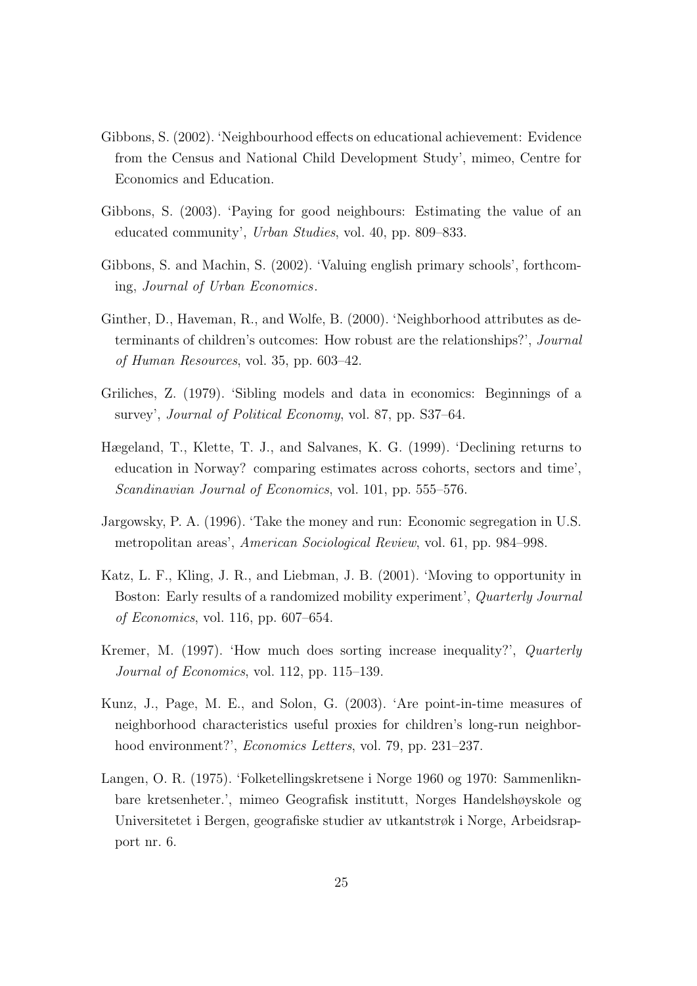- Gibbons, S. (2002). 'Neighbourhood effects on educational achievement: Evidence from the Census and National Child Development Study', mimeo, Centre for Economics and Education.
- Gibbons, S. (2003). 'Paying for good neighbours: Estimating the value of an educated community', Urban Studies, vol. 40, pp. 809–833.
- Gibbons, S. and Machin, S. (2002). 'Valuing english primary schools', forthcoming, Journal of Urban Economics.
- Ginther, D., Haveman, R., and Wolfe, B. (2000). 'Neighborhood attributes as determinants of children's outcomes: How robust are the relationships?', Journal of Human Resources, vol. 35, pp. 603–42.
- Griliches, Z. (1979). 'Sibling models and data in economics: Beginnings of a survey', Journal of Political Economy, vol. 87, pp. S37–64.
- Hægeland, T., Klette, T. J., and Salvanes, K. G. (1999). 'Declining returns to education in Norway? comparing estimates across cohorts, sectors and time', Scandinavian Journal of Economics, vol. 101, pp. 555–576.
- Jargowsky, P. A. (1996). 'Take the money and run: Economic segregation in U.S. metropolitan areas', American Sociological Review, vol. 61, pp. 984–998.
- Katz, L. F., Kling, J. R., and Liebman, J. B. (2001). 'Moving to opportunity in Boston: Early results of a randomized mobility experiment', Quarterly Journal of Economics, vol. 116, pp. 607–654.
- Kremer, M. (1997). 'How much does sorting increase inequality?', *Quarterly* Journal of Economics, vol. 112, pp. 115–139.
- Kunz, J., Page, M. E., and Solon, G. (2003). 'Are point-in-time measures of neighborhood characteristics useful proxies for children's long-run neighborhood environment?', *Economics Letters*, vol. 79, pp. 231–237.
- Langen, O. R. (1975). 'Folketellingskretsene i Norge 1960 og 1970: Sammenliknbare kretsenheter.', mimeo Geografisk institutt, Norges Handelshøyskole og Universitetet i Bergen, geografiske studier av utkantstrøk i Norge, Arbeidsrapport nr. 6.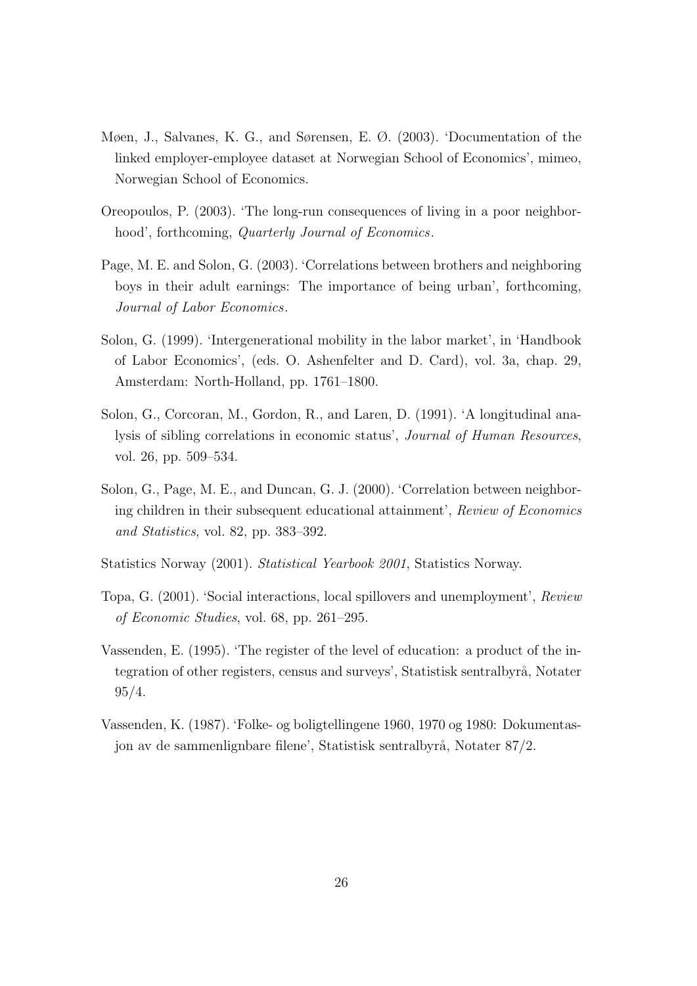- Møen, J., Salvanes, K. G., and Sørensen, E. Ø. (2003). 'Documentation of the linked employer-employee dataset at Norwegian School of Economics', mimeo, Norwegian School of Economics.
- Oreopoulos, P. (2003). 'The long-run consequences of living in a poor neighborhood', forthcoming, *Quarterly Journal of Economics*.
- Page, M. E. and Solon, G. (2003). 'Correlations between brothers and neighboring boys in their adult earnings: The importance of being urban', forthcoming, Journal of Labor Economics.
- Solon, G. (1999). 'Intergenerational mobility in the labor market', in 'Handbook of Labor Economics', (eds. O. Ashenfelter and D. Card), vol. 3a, chap. 29, Amsterdam: North-Holland, pp. 1761–1800.
- Solon, G., Corcoran, M., Gordon, R., and Laren, D. (1991). 'A longitudinal analysis of sibling correlations in economic status', Journal of Human Resources, vol. 26, pp. 509–534.
- Solon, G., Page, M. E., and Duncan, G. J. (2000). 'Correlation between neighboring children in their subsequent educational attainment', Review of Economics and Statistics, vol. 82, pp. 383–392.
- Statistics Norway (2001). Statistical Yearbook 2001, Statistics Norway.
- Topa, G. (2001). 'Social interactions, local spillovers and unemployment', Review of Economic Studies, vol. 68, pp. 261–295.
- Vassenden, E. (1995). 'The register of the level of education: a product of the integration of other registers, census and surveys', Statistisk sentralbyrå, Notater 95/4.
- Vassenden, K. (1987). 'Folke- og boligtellingene 1960, 1970 og 1980: Dokumentasjon av de sammenlignbare filene', Statistisk sentralbyrå, Notater 87/2.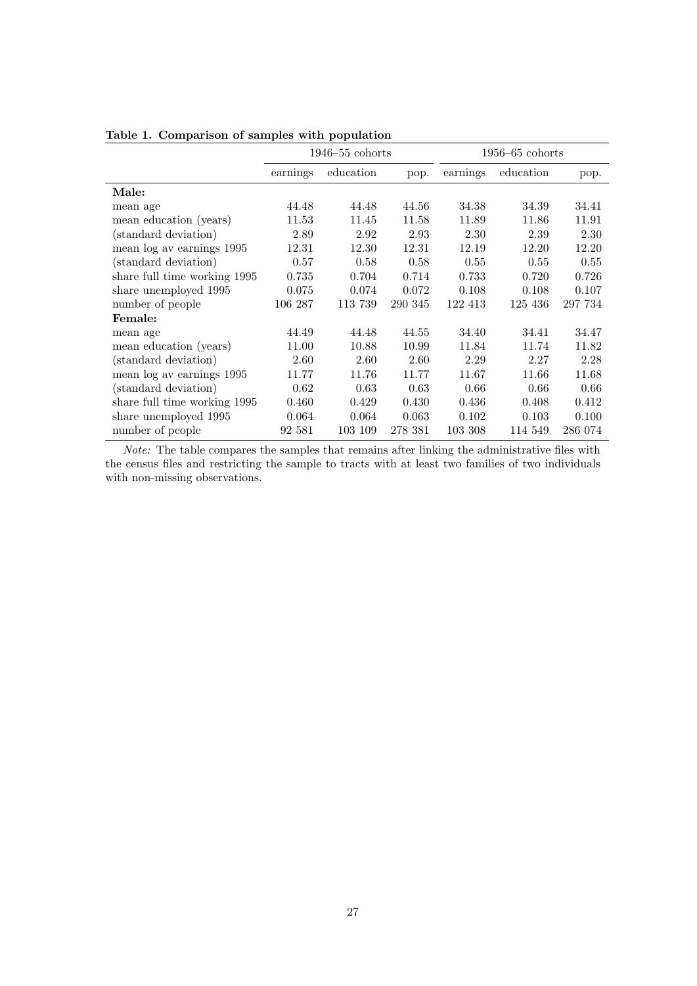|                              | $1946 - 55$ cohorts |           |         | $1956 - 65$ cohorts |           |         |  |
|------------------------------|---------------------|-----------|---------|---------------------|-----------|---------|--|
|                              | earnings            | education | pop.    | earnings            | education | pop.    |  |
| Male:                        |                     |           |         |                     |           |         |  |
| mean age                     | 44.48               | 44.48     | 44.56   | 34.38               | 34.39     | 34.41   |  |
| mean education (years)       | 11.53               | 11.45     | 11.58   | 11.89               | 11.86     | 11.91   |  |
| (standard deviation)         | 2.89                | 2.92      | 2.93    | 2.30                | 2.39      | 2.30    |  |
| mean log av earnings 1995    | 12.31               | 12.30     | 12.31   | 12.19               | 12.20     | 12.20   |  |
| (standard deviation)         | 0.57                | 0.58      | 0.58    | 0.55                | 0.55      | 0.55    |  |
| share full time working 1995 | 0.735               | 0.704     | 0.714   | 0.733               | 0.720     | 0.726   |  |
| share unemployed 1995        | 0.075               | 0.074     | 0.072   | 0.108               | 0.108     | 0.107   |  |
| number of people             | 106 287             | 113 739   | 290 345 | 122 413             | 125 436   | 297 734 |  |
| Female:                      |                     |           |         |                     |           |         |  |
| mean age                     | 44.49               | 44.48     | 44.55   | 34.40               | 34.41     | 34.47   |  |
| mean education (years)       | 11.00               | 10.88     | 10.99   | 11.84               | 11.74     | 11.82   |  |
| (standard deviation)         | 2.60                | 2.60      | 2.60    | 2.29                | 2.27      | 2.28    |  |
| mean log av earnings 1995    | 11.77               | 11.76     | 11.77   | 11.67               | 11.66     | 11.68   |  |
| (standard deviation)         | 0.62                | 0.63      | 0.63    | 0.66                | 0.66      | 0.66    |  |
| share full time working 1995 | 0.460               | 0.429     | 0.430   | 0.436               | 0.408     | 0.412   |  |
| share unemployed 1995        | 0.064               | 0.064     | 0.063   | 0.102               | 0.103     | 0.100   |  |
| number of people             | 92 581              | 103 109   | 278 381 | 103 308             | 114 549   | 286 074 |  |

Table 1. Comparison of samples with population

Note: The table compares the samples that remains after linking the administrative files with the census files and restricting the sample to tracts with at least two families of two individuals with non-missing observations.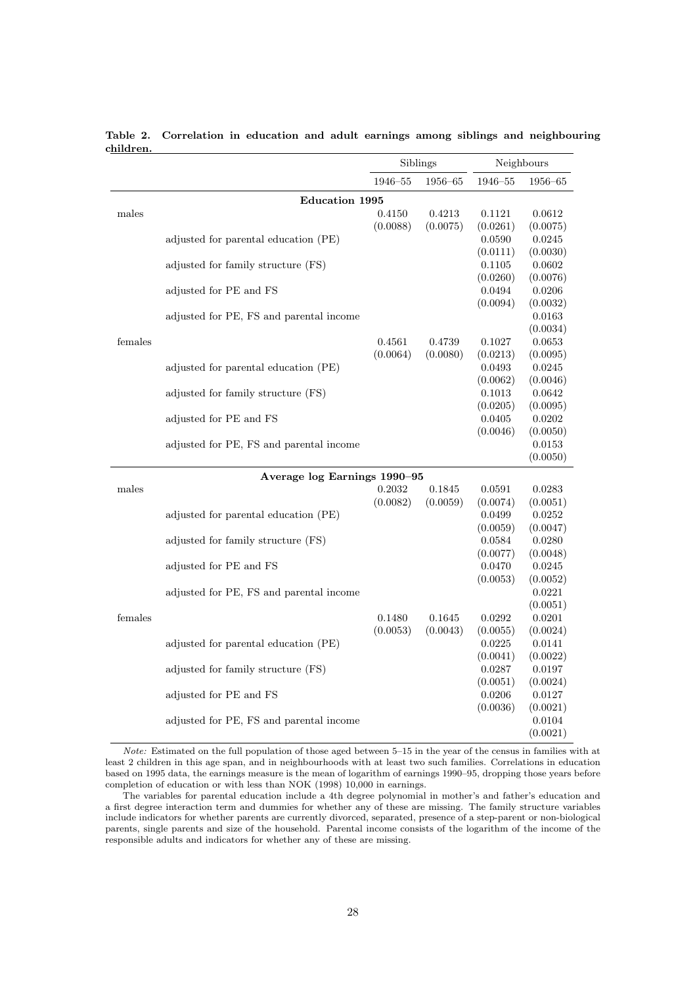|         |                                         | Siblings |                    |                    | Neighbours         |
|---------|-----------------------------------------|----------|--------------------|--------------------|--------------------|
|         |                                         | 1946–55  | 1956-65            | 1946-55            | 1956-65            |
|         | <b>Education 1995</b>                   |          |                    |                    |                    |
| males   |                                         | 0.4150   | 0.4213             | 0.1121             | 0.0612             |
|         |                                         | (0.0088) | (0.0075)           | (0.0261)           | (0.0075)           |
|         | adjusted for parental education (PE)    |          |                    | 0.0590             | 0.0245             |
|         | adjusted for family structure (FS)      |          |                    | (0.0111)           | (0.0030)           |
|         |                                         |          |                    | 0.1105<br>(0.0260) | 0.0602<br>(0.0076) |
|         | adjusted for PE and FS                  |          |                    | 0.0494             | 0.0206             |
|         |                                         |          |                    | (0.0094)           | (0.0032)           |
|         | adjusted for PE, FS and parental income |          |                    |                    | 0.0163             |
|         |                                         |          |                    |                    | (0.0034)           |
| females |                                         | 0.4561   | 0.4739             | 0.1027             | 0.0653             |
|         |                                         | (0.0064) | (0.0080)           | (0.0213)           | (0.0095)           |
|         | adjusted for parental education (PE)    |          |                    | 0.0493             | 0.0245             |
|         |                                         |          |                    | (0.0062)           | (0.0046)           |
|         | adjusted for family structure (FS)      |          |                    | $0.1013\,$         | 0.0642             |
|         |                                         |          |                    | (0.0205)           | (0.0095)           |
|         | adjusted for PE and FS                  |          |                    | 0.0405             | 0.0202             |
|         | adjusted for PE, FS and parental income |          |                    | (0.0046)           | (0.0050)<br>0.0153 |
|         |                                         |          |                    |                    | (0.0050)           |
|         |                                         |          |                    |                    |                    |
|         | Average log Earnings 1990-95            | 0.2032   |                    |                    |                    |
| males   |                                         | (0.0082) | 0.1845<br>(0.0059) | 0.0591<br>(0.0074) | 0.0283<br>(0.0051) |
|         | adjusted for parental education (PE)    |          |                    | 0.0499             | 0.0252             |
|         |                                         |          |                    | (0.0059)           | (0.0047)           |
|         | adjusted for family structure (FS)      |          |                    | 0.0584             | 0.0280             |
|         |                                         |          |                    | (0.0077)           | (0.0048)           |
|         | adjusted for PE and FS                  |          |                    | 0.0470             | 0.0245             |
|         |                                         |          |                    | (0.0053)           | (0.0052)           |
|         | adjusted for PE, FS and parental income |          |                    |                    | 0.0221             |
|         |                                         |          |                    |                    | (0.0051)           |
| females |                                         | 0.1480   | 0.1645             | 0.0292             | 0.0201             |
|         |                                         | (0.0053) | (0.0043)           | (0.0055)           | (0.0024)           |
|         | adjusted for parental education (PE)    |          |                    | 0.0225             | 0.0141             |
|         |                                         |          |                    | (0.0041)           | (0.0022)           |
|         | adjusted for family structure (FS)      |          |                    | 0.0287<br>(0.0051) | 0.0197<br>(0.0024) |
|         | adjusted for PE and FS                  |          |                    | 0.0206             | 0.0127             |
|         |                                         |          |                    | (0.0036)           | (0.0021)           |
|         | adjusted for PE, FS and parental income |          |                    |                    | 0.0104             |
|         |                                         |          |                    |                    | (0.0021)           |

|           | Table 2. Correlation in education and adult earnings among siblings and neighbouring |  |  |  |  |  |
|-----------|--------------------------------------------------------------------------------------|--|--|--|--|--|
| children. |                                                                                      |  |  |  |  |  |

Note: Estimated on the full population of those aged between 5–15 in the year of the census in families with at least 2 children in this age span, and in neighbourhoods with at least two such families. Correlations in education based on 1995 data, the earnings measure is the mean of logarithm of earnings 1990–95, dropping those years before completion of education or with less than NOK (1998) 10,000 in earnings.

The variables for parental education include a 4th degree polynomial in mother's and father's education and a first degree interaction term and dummies for whether any of these are missing. The family structure variables include indicators for whether parents are currently divorced, separated, presence of a step-parent or non-biological parents, single parents and size of the household. Parental income consists of the logarithm of the income of the responsible adults and indicators for whether any of these are missing.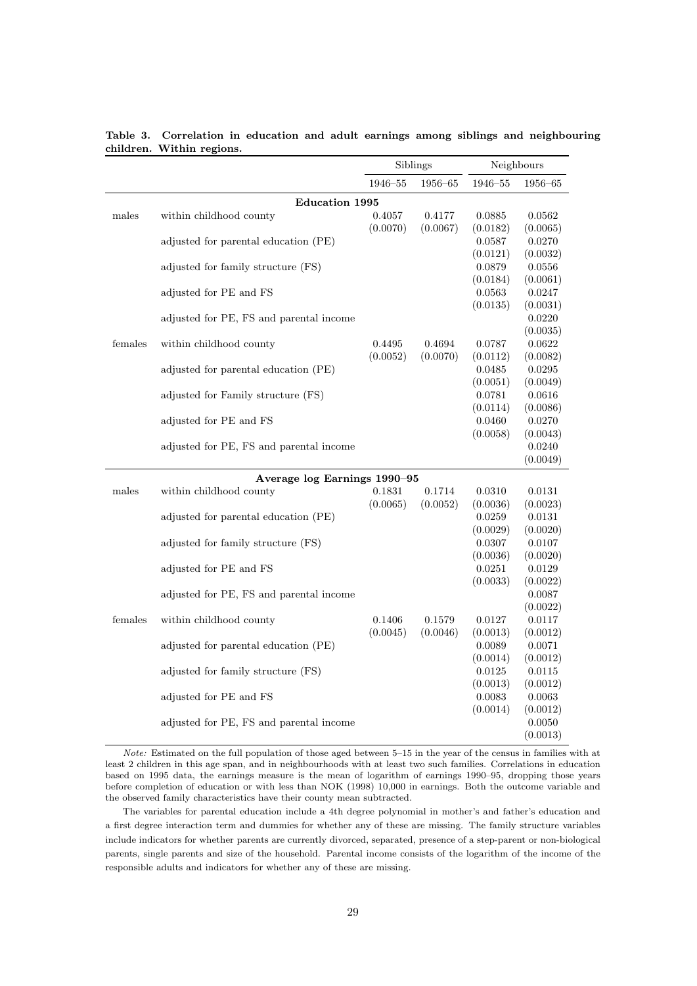|         |                                         |                    | Siblings           |                    | Neighbours         |
|---------|-----------------------------------------|--------------------|--------------------|--------------------|--------------------|
|         |                                         | $1946 - 55$        | 1956-65            | 1946-55            | $1956 - 65$        |
|         | <b>Education 1995</b>                   |                    |                    |                    |                    |
| males   | within childhood county                 | 0.4057<br>(0.0070) | 0.4177<br>(0.0067) | 0.0885<br>(0.0182) | 0.0562<br>(0.0065) |
|         | adjusted for parental education (PE)    |                    |                    | 0.0587             | 0.0270             |
|         |                                         |                    |                    | (0.0121)           | (0.0032)           |
|         | adjusted for family structure (FS)      |                    |                    | 0.0879             | 0.0556             |
|         |                                         |                    |                    | (0.0184)           | (0.0061)           |
|         | adjusted for PE and FS                  |                    |                    | 0.0563             | 0.0247             |
|         |                                         |                    |                    | (0.0135)           | (0.0031)           |
|         | adjusted for PE, FS and parental income |                    |                    |                    | 0.0220             |
|         |                                         |                    |                    |                    | (0.0035)           |
| females | within childhood county                 | 0.4495             | 0.4694             | 0.0787             | 0.0622             |
|         | adjusted for parental education (PE)    | (0.0052)           | (0.0070)           | (0.0112)           | (0.0082)<br>0.0295 |
|         |                                         |                    |                    | 0.0485<br>(0.0051) | (0.0049)           |
|         | adjusted for Family structure (FS)      |                    |                    | 0.0781             | 0.0616             |
|         |                                         |                    |                    | (0.0114)           | (0.0086)           |
|         | adjusted for PE and FS                  |                    |                    | 0.0460             | 0.0270             |
|         |                                         |                    |                    | (0.0058)           | (0.0043)           |
|         | adjusted for PE, FS and parental income |                    |                    |                    | 0.0240             |
|         |                                         |                    |                    |                    | (0.0049)           |
|         | Average log Earnings 1990-95            |                    |                    |                    |                    |
| males   | within childhood county                 | 0.1831             | 0.1714             | 0.0310             | 0.0131             |
|         |                                         | (0.0065)           | (0.0052)           | (0.0036)           | (0.0023)           |
|         | adjusted for parental education (PE)    |                    |                    | 0.0259             | 0.0131             |
|         |                                         |                    |                    | (0.0029)           | (0.0020)           |
|         | adjusted for family structure (FS)      |                    |                    | 0.0307             | 0.0107             |
|         |                                         |                    |                    | (0.0036)           | (0.0020)           |
|         | adjusted for PE and FS                  |                    |                    | 0.0251             | 0.0129             |
|         |                                         |                    |                    | (0.0033)           | (0.0022)           |
|         | adjusted for PE, FS and parental income |                    |                    |                    | 0.0087<br>(0.0022) |
| females | within childhood county                 | 0.1406             | 0.1579             | 0.0127             | 0.0117             |
|         |                                         | (0.0045)           | (0.0046)           | (0.0013)           | (0.0012)           |
|         | adjusted for parental education (PE)    |                    |                    | 0.0089             | 0.0071             |
|         |                                         |                    |                    | (0.0014)           | (0.0012)           |
|         | adjusted for family structure (FS)      |                    |                    | 0.0125             | 0.0115             |
|         |                                         |                    |                    | (0.0013)           | (0.0012)           |
|         | adjusted for PE and FS                  |                    |                    | 0.0083             | 0.0063             |
|         |                                         |                    |                    | (0.0014)           | (0.0012)           |
|         | adjusted for PE, FS and parental income |                    |                    |                    | 0.0050             |
|         |                                         |                    |                    |                    | (0.0013)           |

Table 3. Correlation in education and adult earnings among siblings and neighbouring children. Within regions.

Note: Estimated on the full population of those aged between 5–15 in the year of the census in families with at least 2 children in this age span, and in neighbourhoods with at least two such families. Correlations in education based on 1995 data, the earnings measure is the mean of logarithm of earnings 1990–95, dropping those years before completion of education or with less than NOK (1998) 10,000 in earnings. Both the outcome variable and the observed family characteristics have their county mean subtracted.

The variables for parental education include a 4th degree polynomial in mother's and father's education and a first degree interaction term and dummies for whether any of these are missing. The family structure variables include indicators for whether parents are currently divorced, separated, presence of a step-parent or non-biological parents, single parents and size of the household. Parental income consists of the logarithm of the income of the responsible adults and indicators for whether any of these are missing.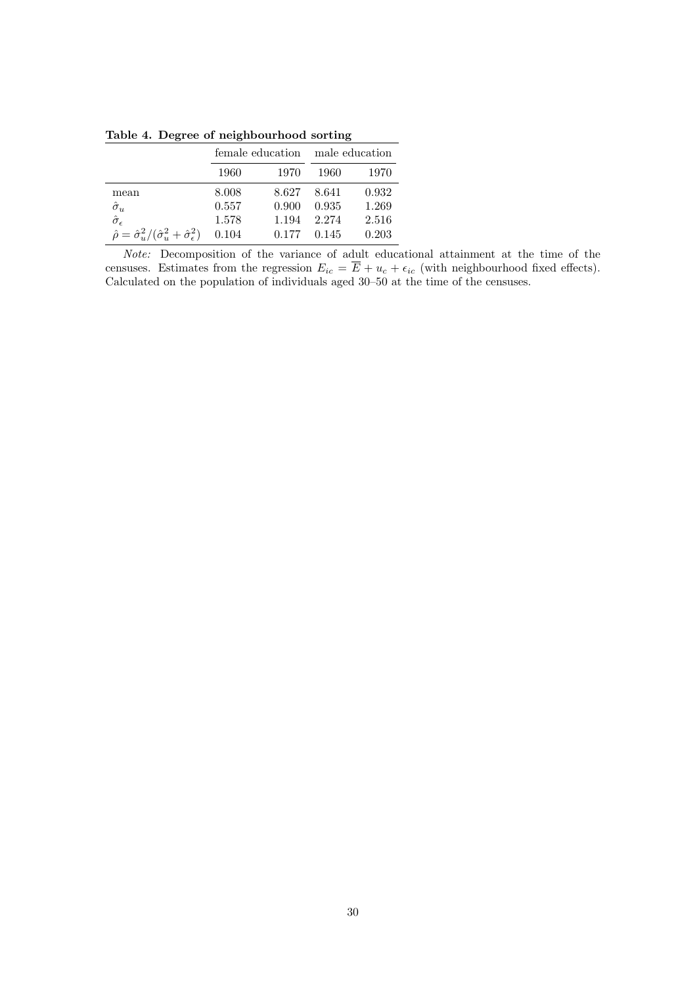Table 4. Degree of neighbourhood sorting

|                                                                                |       |       | female education male education |       |  |
|--------------------------------------------------------------------------------|-------|-------|---------------------------------|-------|--|
|                                                                                | 1960  | 1970  | 1960                            | 1970  |  |
| mean                                                                           | 8.008 | 8.627 | 8.641                           | 0.932 |  |
| $\hat{\sigma}_u$                                                               | 0.557 | 0.900 | 0.935                           | 1.269 |  |
| $\hat{\sigma}_{\epsilon}$                                                      | 1.578 | 1.194 | 2.274                           | 2.516 |  |
| $\hat{\rho} = \hat{\sigma}_y^2 / (\hat{\sigma}_y^2 + \hat{\sigma}_\epsilon^2)$ | 0.104 | 0.177 | 0.145                           | 0.203 |  |

Note: Decomposition of the variance of adult educational attainment at the time of the censuses. Estimates from the regression  $E_{ic} = E + u_c + \epsilon_{ic}$  (with neighbourhood fixed effects). Calculated on the population of individuals aged 30–50 at the time of the censuses.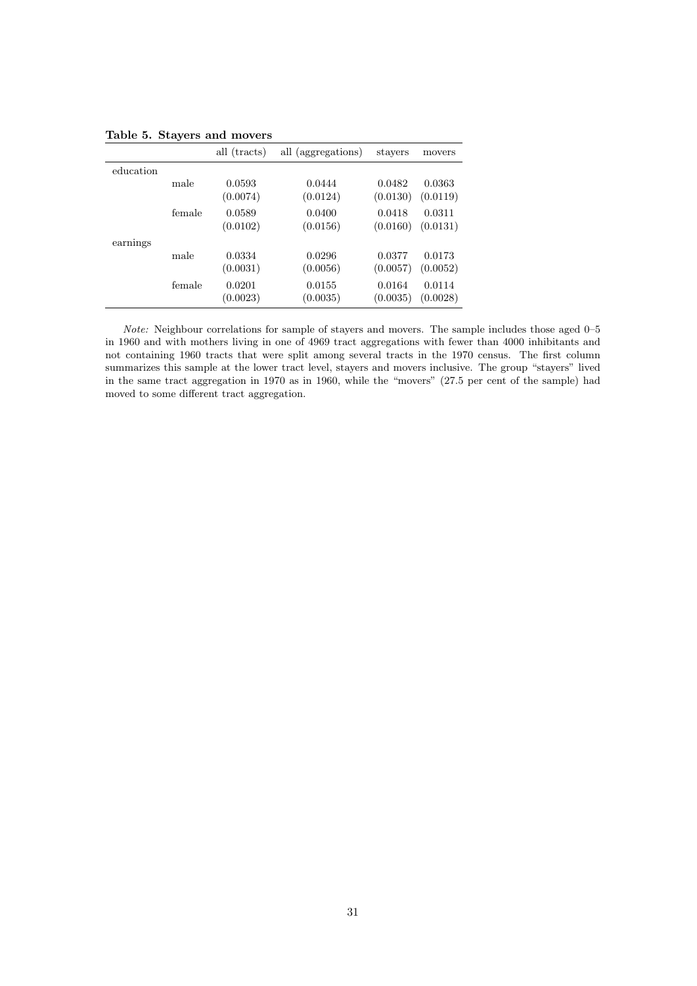|           |        | all (tracts)       | all (aggregations) | stayers            | movers             |
|-----------|--------|--------------------|--------------------|--------------------|--------------------|
| education |        |                    |                    |                    |                    |
|           | male   | 0.0593<br>(0.0074) | 0.0444<br>(0.0124) | 0.0482<br>(0.0130) | 0.0363<br>(0.0119) |
|           | female | 0.0589<br>(0.0102) | 0.0400<br>(0.0156) | 0.0418<br>(0.0160) | 0.0311<br>(0.0131) |
| earnings  |        |                    |                    |                    |                    |
|           | male   | 0.0334<br>(0.0031) | 0.0296<br>(0.0056) | 0.0377<br>(0.0057) | 0.0173<br>(0.0052) |
|           | female | 0.0201<br>(0.0023) | 0.0155<br>(0.0035) | 0.0164<br>(0.0035) | 0.0114<br>(0.0028) |

Table 5. Stayers and movers

Note: Neighbour correlations for sample of stayers and movers. The sample includes those aged 0–5 in 1960 and with mothers living in one of 4969 tract aggregations with fewer than 4000 inhibitants and not containing 1960 tracts that were split among several tracts in the 1970 census. The first column summarizes this sample at the lower tract level, stayers and movers inclusive. The group "stayers" lived in the same tract aggregation in 1970 as in 1960, while the "movers" (27.5 per cent of the sample) had moved to some different tract aggregation.